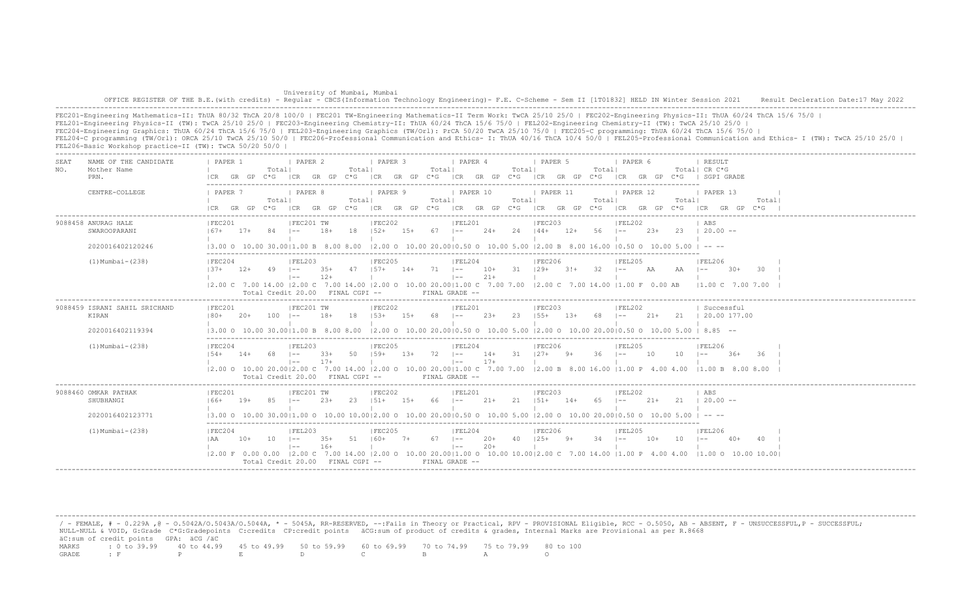University of Mumbai, Mumbai OFFICE REGISTER OF THE B.E.(with credits) - Regular - CBCS(Information Technology Engineering) - F.E. C-Scheme - Sem II [1T01832] HELD IN Winter Session 2021 Result Decleration Date:17 May 2022 -------------------------------------------------------------------------------------------------------------------------------------------------------------------------------------------------------------------

FEC201-Engineering Mathematics-II: ThUA 80/32 ThCA 20/8 100/0 | FEC201 TW-Engineering Mathematics-II Term Work: TwCA 25/10 25/0 | FEC202-Engineering Physics-II: ThUA 60/24 ThCA 15/6 75/0 | FEL201-Engineering Physics-II (TW): TwCA 25/10 25/0 | FEC203-Engineering Chemistry-II: ThUA 60/24 ThCA 15/6 75/0 | FEL202-Engineering Chemistry-II (TW): TwCA 25/10 25/0 | FEC204-Engineering Graphics: ThUA 60/24 ThCA 15/6 75/0 | FEL203-Engineering Graphics (TW/Orl): PrCA 50/20 TwCA 25/10 75/0 | FEC205-C programming: ThUA 60/24 ThCA 15/6 75/0 | FEL204-C programming (TW/Orl): ORCA 25/10 TwCA 25/10 50/0 | FEC206-Professional Communication and Ethics- I: ThUA 40/16 ThCA 10/4 50/0 | FEL205-Professional Communication and Ethics- I (TW): TwCA 25/10 25/0 | FEL206-Basic Workshop practice-II (TW): TwCA 50/20 50/0 |

| SEA.<br>NO. | NAME OF THE CANDIDATE<br>Mother Name<br>PRN.               | PAPER 1<br>I CR                                                                                                                                                                                                        |       | Totall     | <b>I PAPER 2</b><br>GR GP C*G ICR GR GP C*G                         |                | Totall  | <b>I PAPER 3</b>                              |        | Totall       | <i>I</i> PAPER 4                               |                 | Totall | I PAPER 5<br>ICR GR GP C*G ICR GR GP C*G ICR GR GP C*G                            |        | Totall     | 1 PAPER 6                    |       |       | RESULT<br>Total  CR C*G<br>ICR GR GP C*G I SGPI GRADE                                                                                                             |       |  |
|-------------|------------------------------------------------------------|------------------------------------------------------------------------------------------------------------------------------------------------------------------------------------------------------------------------|-------|------------|---------------------------------------------------------------------|----------------|---------|-----------------------------------------------|--------|--------------|------------------------------------------------|-----------------|--------|-----------------------------------------------------------------------------------|--------|------------|------------------------------|-------|-------|-------------------------------------------------------------------------------------------------------------------------------------------------------------------|-------|--|
|             | CENTRE-COLLEGE                                             | 1 PAPER 7<br>$ICR$ $GR$ $GP$ $C*G$                                                                                                                                                                                     |       | Totall     | I PAPER 8                                                           |                | Totall  | <i>I</i> PAPER 9                              |        | Totall       | 1 PAPER 10                                     |                 | Totall | PAPER 11<br>ICR GR GP C*G ICR GR GP C*G ICR GR GP C*G ICR GR GP C*G ICR GR GP C*G |        | Total      | 1 PAPER 12                   |       | Total | 1 PAPER 13<br>ICR GR GP C*G                                                                                                                                       | Total |  |
|             | 9088458 ANURAG HALE<br>SWAROOPARANI<br>2020016402120246    | IFEC201<br>$167+$<br>$(3.00 \t 0 \t 10.00 \t 30.00 \t 11.00 \t B \t 8.00 \t 8.00 \t 12.00 \t 0 \t 10.00 \t 20.00 \t 0.50 \t 0 \t 10.00 \t 5.00 \t 12.00 \t B \t 8.00 \t 16.00 \t 10.50 \t 0 \t 10.00 \t 5.00 \t -- -$  | $17+$ | 84 –       | IFEC201 TW                                                          | $18+$          | 18      | IFEC202<br>$152+$                             | 15+    | $67 - 1 -$   | IFEL201                                        |                 |        | IFEC203<br>$24+$ 24 $144+$ 12+ 56 1--                                             |        |            | FEL202                       |       |       | ABS<br>$23+$ 23 $\pm$ 20.00 --                                                                                                                                    |       |  |
|             | $(1)$ Mumbai - $(238)$                                     | IFEC204<br>$137+$ $12+$ 49 $1--$<br> 2.00 C 7.00 14.00  2.00 C 7.00 14.00  2.00 O 10.00 20.00 1.00 C 7.00 7.00  2.00 C 7.00 14.00  1.00 F 0.00 AB                                                                      |       |            | IFEL203<br>$1 - -$<br>Total Credit 20.00 FINAL CGPI --              | $12+$          |         | IFEC205<br>$35+$ $47$ $157+$ $14+$ $71$ $1--$ |        |              | IFEL204<br>$\vert - - \vert$<br>FINAL GRADE -- | $21+$           |        | IFEC206<br>$10+$ 31 $129+$ 3! $+$ 32 $1--$ AA                                     |        |            | IFEL205                      |       | AA    | <b>IFEL206</b><br>30+<br>$1 - -$<br>$11.00 \t{C}$ 7.00 7.00                                                                                                       | -30-  |  |
|             | 9088459 ISRANI SAHIL SRICHAND<br>KIRAN<br>2020016402119394 | IFEC201<br>$180+$<br>13.00 O 10.00 30.0011.00 B 8.00 8.00                                                                                                                                                              | $20+$ | 100        | IFEC201 TW<br>$1 - -$                                               | $18+$          | -18     | IFEC202<br>$153+$                             | $1.5+$ | 68.          | IFEL201<br>$1 - -$                             | $2.3+$          | 23     | IFEC203<br>$155+$                                                                 | $1.3+$ | 68.        | IFEL202<br>$1 - -$           | $21+$ |       | Successful<br>21 1 20.00 177.00<br>$12.00$ O $10.00$ $20.0010.50$ O $10.00$ $5.00$ $12.00$ O $10.00$ $20.0010.50$ O $10.00$ $5.00$ $1$ $8.85$ $-$                 |       |  |
|             | $(1)$ Mumbai - $(238)$                                     | IFEC204<br>$154+$                                                                                                                                                                                                      | $14+$ | 68 –       | FEL203<br>$1 - -$<br>Total Credit 20.00 FINAL CGPI --               | $33+$<br>$17+$ | 50      | IFEC205<br>$159+$                             | $1.3+$ | $72 \quad -$ | IFEL204<br>$\vert - - \vert$<br>FINAL GRADE -- | $17+$           |        | IFEC206<br>14+ 31 127+ 9+                                                         |        | $36 - 1 -$ | IFEL205                      | - 10  | 10    | IFEL206<br>$1 - -$<br>$-36+$<br> 2.00 0 10.00 20.00 2.00 C 7.00 14.00  2.00 0 10.00 20.00 1.00 C 7.00 7.00  2.00 B 8.00 16.00  1.00 P 4.00 4.00  1.00 B 8.00 8.00 | -36   |  |
|             | 9088460 OMKAR PATHAK<br>SHUBHANGI<br>2020016402123771      | IFEC201<br>166+<br>$(3.00 \t 0 \t 10.00 \t 30.00 \t 11.00 \t 0 \t 10.00 \t 10.00 \t 12.00 \t 0 \t 10.00 \t 20.00 \t 0.50 \t 0 \t 10.00 \t 5.00 \t 12.00 \t 0 \t 10.00 \t 20.00 \t 0.50 \t 0 \t 10.00 \t 5.00 \t 1 - -$ | $19+$ | 85         | IFEC201 TW<br>$1 - -$                                               | $2.3+$         | 23      | IFEC202<br>$151+$                             | $15+$  | 66 –         | IFEL201                                        | 21+             | 21     | IFEC203<br>$151+$ 14+                                                             |        | 65         | IFEL202<br>$\vert - - \vert$ | $21+$ | 21    | ABS<br>$120.00 -$                                                                                                                                                 |       |  |
|             | $(1)$ Mumbai - $(238)$                                     | IFEC204<br>I AA                                                                                                                                                                                                        | 10+   | $10 - 1 =$ | IFEL203<br>$\vert - - \vert$<br>Total Credit $20.00$ FINAL CGPI $-$ | $35+$<br>$16+$ | 51 160+ | FEC205                                        | $7+$   | $67 \t - -$  | FEL204<br>$\vert - - \vert$<br>FINAL GRADE --  | $20+$<br>$2.0+$ |        | FEC206 <br>$40 \t125+ \t9+$                                                       |        | $34 - -$   | IFEL205                      | 10+   | 10    | IFEL206<br>$40+$<br>12.00 F 0.00 0.00 12.00 C 7.00 14.00 12.00 O 10.00 20.0011.00 O 10.00 10.0012.00 C 7.00 14.00 11.00 P 4.00 4.00 11.00 O 10.00 10.00           |       |  |

/ - FEMALE, # - 0.229A , @ - 0.5042A/O.5043A/O.5044A, \* - 5045A, RR-RESERVED, --:Fails in Theory or Practical, RPV - PROVISIONAL Eligible, RCC - 0.5050, AB - ABSENT, F - UNSUCCESSFUL,P - SUCCESSFUL; NULL-NULL & VOID, G:Grade C\*G:Gradepoints C:credits CP:credit points äCG:sum of product of credits & grades, Internal Marks are Provisional as per R.8668 äC:sum of credit points GPA: äCG /äC MARKS : 0 to 39.99 40 to 44.99 45 to 49.99 50 to 59.99 60 to 69.99 70 to 74.99 75 to 79.99 80 to 100 GRADE : F P E D C B A O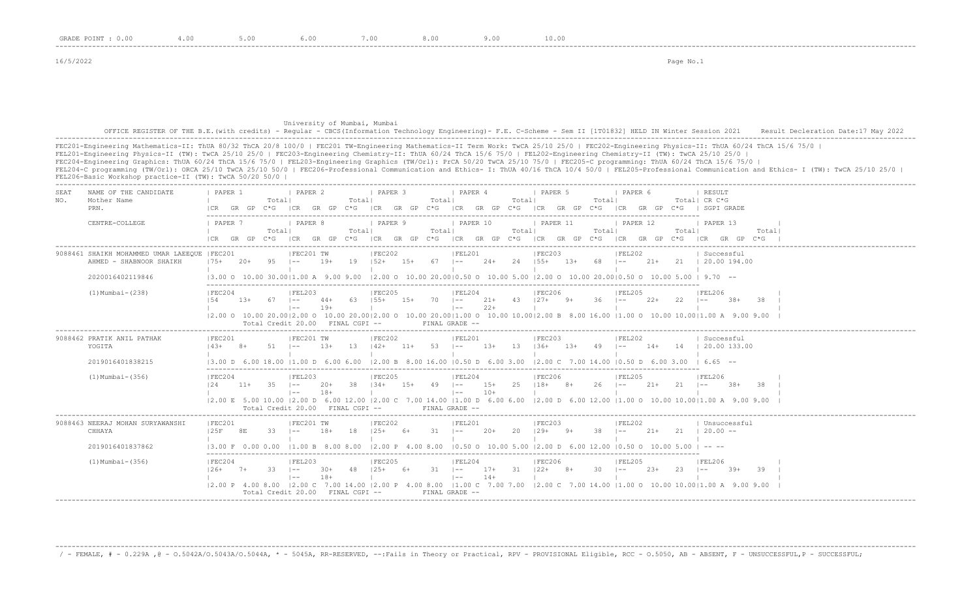University of Mumbai, Mumbai OFFICE REGISTER OF THE B.E.(with credits) - Regular - CBCS(Information Technology Engineering) - F.E. C-Scheme - Sem II [1T01832] HELD IN Winter Session 2021 Result Decleration Date:17 May 2022 -------------------------------------------------------------------------------------------------------------------------------------------------------------------------------------------------------------------

FEC201-Engineering Mathematics-II: ThUA 80/32 ThCA 20/8 100/0 | FEC201 TW-Engineering Mathematics-II Term Work: TwCA 25/10 25/0 | FEC202-Engineering Physics-II: ThUA 60/24 ThCA 15/6 75/0 | FEL201-Engineering Physics-II (TW): TwCA 25/10 25/0 | FEC203-Engineering Chemistry-II: ThUA 60/24 ThCA 15/6 75/0 | FEL202-Engineering Chemistry-II (TW): TwCA 25/10 25/0 | FEC204-Engineering Graphics: ThUA 60/24 ThCA 15/6 75/0 | FEL203-Engineering Graphics (TW/Orl): PrCA 50/20 TwCA 25/10 75/0 | FEC205-C programming: ThUA 60/24 ThCA 15/6 75/0 | FEL204-C programming (TW/Orl): ORCA 25/10 TwCA 25/10 50/0 | FEC206-Professional Communication and Ethics- I: ThUA 40/16 ThCA 10/4 50/0 | FEL205-Professional Communication and Ethics- I (TW): TwCA 25/10 25/0 | FEL206-Basic Workshop practice-II (TW): TwCA 50/20 50/0 | -------------------------------------------------------------------------------------------------------------------------------------------------------------------------------------------------------------------

| SEAT<br>NO. | NAME OF THE CANDIDATE<br>Mother Name<br>PRN.                             | PAPER 1                       |       | Totall                               | PAPER 2                      |                | Totall      | PAPER 3                     |        | Totall         | PAPER 4                      |                 | Totall | PAPER <sub>5</sub><br> CR GR GP C*G  CR GR GP C*G  CR GR GP C*G  CR GR GP C*G  CR GR GP C*G  CR GR GP C*G   SGPI GRADE              | Totall       | PAPER 6  |        |            | RESULT<br>Totall CR C*G                           |        |        |  |
|-------------|--------------------------------------------------------------------------|-------------------------------|-------|--------------------------------------|------------------------------|----------------|-------------|-----------------------------|--------|----------------|------------------------------|-----------------|--------|-------------------------------------------------------------------------------------------------------------------------------------|--------------|----------|--------|------------|---------------------------------------------------|--------|--------|--|
|             | CENTRE-COLLEGE                                                           | <b>I PAPER 7</b><br>ICR GR GP |       | Totall                               | PAPER 8                      |                | Totall      | PAPER 9                     |        | Totall         | PAPER 10                     |                 | Totall | PAPER 11<br>C*G ICR GR GP C*G ICR GR GP C*G ICR GR GP C*G ICR GR GP C*G ICR GR GP C*G                                               | Totall       | PAPER 12 |        | Totall     | PAPER 13<br>ICRGRGPC*G                            |        | Totall |  |
|             | 9088461 SHAIKH MOHAMMED UMAR LAEEOUE   FEC201<br>AHMED - SHABNOOR SHAIKH | $175+$                        | $20+$ | $95 \t - -$                          | FEC201 TW                    | $19+$          |             | FEC202<br>$19$ $152+$ $15+$ |        | $67$ $1--$     | FEL201                       | $24+$           |        | FEC203<br>$24$ $155+$ $13+$                                                                                                         | 68 –         | FEL202   | 21+    |            | Successful<br>21   20.00 194.00                   |        |        |  |
|             | 2020016402119846                                                         |                               |       | 13.00 O 10.00 30.0011.00 A 9.00 9.00 |                              |                |             |                             |        |                |                              |                 |        | $12.00$ o $10.00$ 20.0010.50 o $10.00$ 5.00 12.00 o $10.00$ 20.0010.50 o $10.00$ 5.00 i 9.70 --                                     |              |          |        |            |                                                   |        |        |  |
|             | $(1)$ Mumbai - $(238)$                                                   | IFEC204<br>154                | 13+   | 67 –                                 | IFEL203<br>$1 - -$           | $44+$<br>$19+$ | 63 155+     | IFEC205                     |        | $15+ 70$ $1--$ | IFEL204<br>$\vert - -$       | $22+$           |        | IFEC206<br>$21+$ 43 $127+$ 9+                                                                                                       | $36$ $1--$   | IFEL205  | $22+$  | 22         | IFEL206<br>$1 - -$                                | $38+$  |        |  |
|             |                                                                          |                               |       | Total Credit 20.00 FINAL CGPI --     |                              |                |             |                             |        |                | FINAL GRADE --               |                 |        | 2.00 0 10.00 20.00 2.00 0 10.00 20.00 2.00 0 10.00 20.00 1.00 0 10.00 10.00 2.00 B 8.00 16.00  1.00 0 10.00 10.00 1.00 A 9.00 9.00  |              |          |        |            |                                                   |        |        |  |
|             | 9088462 PRATIK ANIL PATHAK<br>YOGITA                                     | FEC201<br>$14.3+$             | $8+$  | $51 - 1 -$                           | FEC201 TW                    | $1.3+$         | $13 \t142+$ | FEC202                      | $11 +$ | $53 - 1 -$     | FEL201                       | $1.3+$          |        | FEC203<br>$13 \t136+ 13+$                                                                                                           | $49$ $1--$   | FEL202   | $14+$  |            | Successful<br>14 1 20.00 133.00                   |        |        |  |
|             | 2019016401838215                                                         |                               |       | 13.00 D 6.00 18.00 11.00 D 6.00 6.00 |                              |                |             |                             |        |                |                              |                 |        | $12.00 \text{ B}$ 8.00 16.00 10.50 D 6.00 3.00 12.00 C 7.00 14.00 10.50 D 6.00 3.00 1 6.65 --                                       |              |          |        |            |                                                   |        |        |  |
|             | $(1)$ Mumbai - $(356)$                                                   | IFEC204<br>124                |       | $11+ 35$ $1--$                       | IFEL203<br>$\vert - - \vert$ | 20+<br>$18+$   | 38          | IFEC205<br>$134+$           |        | $15+ 49$ $1--$ | IFEL204<br>$\vert - - \vert$ | $15+$<br>$10+$  |        | IFEC206<br>25 118+ 8+                                                                                                               | $26 - 1 - -$ | IFEL205  | $21+$  | $21 - 1 =$ | IFEL206                                           | $.38+$ |        |  |
|             |                                                                          |                               |       | Total Credit 20.00 FINAL CGPI --     |                              |                |             |                             |        |                | FINAL GRADE --               |                 |        | 12.00 E 5.00 10.00 12.00 D 6.00 12.00 12.00 C 7.00 14.00 11.00 D 6.00 6.00 12.00 D 6.00 12.00 11.00 O 10.00 10.00 11.00 A 9.00 9.00 |              |          |        |            |                                                   |        |        |  |
|             | 9088463 NEERAJ MOHAN SURYAWANSHI<br>CHHAYA                               | IFEC201<br>125F               | 8E.   | 33                                   | FEC201 TW<br>$1 - -$         | $18+$          | 18          | IFEC202<br>$125+$ 6+        |        | $31 - 1 -$     | IFEL201                      | $20+$           | 2.0    | IFEC203<br>$129+ 9+$                                                                                                                | $38 = 1 -$   | IFEL202  | $21+$  |            | Unsuccessful<br>$21 \quad 1 \quad 20.00 \quad --$ |        |        |  |
|             | 2019016401837862                                                         |                               |       | 13.00 F 0.00 0.00 11.00 B 8.00 8.00  |                              |                |             |                             |        |                |                              |                 |        | $12.00 \text{ P}$ 4.00 8.00 10.50 0 10.00 5.00 12.00 D 6.00 12.00 10.50 0 10.00 5.00 1                                              |              |          |        |            | $\cdots$                                          |        |        |  |
|             | $(1)$ Mumbai - $(356)$                                                   | IFEC204<br>$126+$             | 7+    | $33 \t - -$                          | FEL203<br>$1 - -$            | $30+$<br>$18+$ | 48          | IFEC205<br>$125+$           | $6+$   | $31 - 1 -$     | IFEL204<br>$\vert - - \vert$ | $17 +$<br>$14+$ | 31     | FEC206<br>$122+$ 8+                                                                                                                 | $30 \t - -$  | IFEL205  | $2.3+$ | -2.3       | IFEL206<br>$1 - -$                                | $39+$  | 39     |  |
|             |                                                                          |                               |       | Total Credit 20.00 FINAL CGPI --     |                              |                |             |                             |        |                | FINAL GRADE --               |                 |        | 2.00 P 4.00 8.00  2.00 C 7.00 14.00  2.00 P 4.00 8.00  1.00 C 7.00 7.00  2.00 C 7.00 14.00  1.00 O 10.00 10.00  1.00 A 9.00 9.00    |              |          |        |            |                                                   |        |        |  |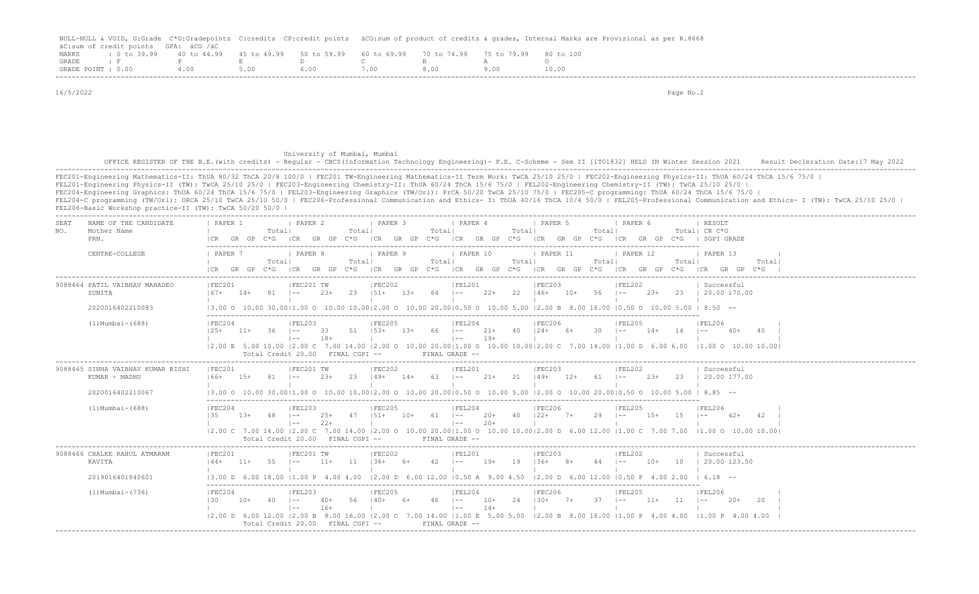|                    |                                      |      |                                                                                                      |      |      | NULL-NULL & VOID, G:Grade C*G:Gradepoints C:credits CP:credit points äCG:sum of product of credits & grades, Internal Marks are Provisional as per R.8668 |
|--------------------|--------------------------------------|------|------------------------------------------------------------------------------------------------------|------|------|-----------------------------------------------------------------------------------------------------------------------------------------------------------|
|                    | äC:sum of credit points GPA: äCG /äC |      |                                                                                                      |      |      |                                                                                                                                                           |
|                    |                                      |      | MARKS : 0 to 39.99 40 to 44.99 45 to 49.99 50 to 59.99 60 to 69.99 70 to 74.99 75 to 79.99 80 to 100 |      |      |                                                                                                                                                           |
|                    |                                      |      | GRADE : F P E D C                                                                                    |      |      |                                                                                                                                                           |
| GRADE POINT : 0.00 | 4.00                                 | 5.00 | 6.00                                                                                                 | 7.00 | 8.00 | 10.00                                                                                                                                                     |
|                    |                                      |      |                                                                                                      |      |      |                                                                                                                                                           |

 16/5/2022 Page No.2 University of Mumbai, Mumbai OFFICE REGISTER OF THE B.E.(with credits) - Regular - CBCS(Information Technology Engineering)- F.E. C-Scheme - Sem II [1T01832] HELD IN Winter Session 2021 Result Decleration Date:17 May 2022 ------------------------------------------------------------------------------------------------------------------------------------------------------------------------------------------------------------------- FEC201-Engineering Mathematics-II: ThUA 80/32 ThCA 20/8 100/0 | FEC201 TW-Engineering Mathematics-II Term Work: TwCA 25/10 25/0 | FEC202-Engineering Physics-II: ThUA 60/24 ThCA 15/6 75/0 | FEL201-Engineering Physics-II (TW): TwCA 25/10 25/0 | FEC203-Engineering Chemistry-II: ThUA 60/24 ThCA 15/6 75/0 | FEL202-Engineering Chemistry-II (TW): TwCA 25/10 25/0 | FEC204-Engineering Graphics: ThUA 60/24 ThCA 15/6 75/0 | FEL203-Engineering Graphics (TW/Orl): PrCA 50/20 TwCA 25/10 75/0 | FEC205-C programming: ThUA 60/24 ThCA 15/6 75/0 | FEL204-C programming (TW/Orl): ORCA 25/10 TwCA 25/10 50/0 | FEC206-Professional Communication and Ethics- I: ThUA 40/16 ThCA 10/4 50/0 | FEL205-Professional Communication and Ethics- I (TW): TwCA 25/10 25/0 | FEL206-Basic Workshop practice-II (TW): TwCA 50/20 50/0 | ------------------------------------------------------------------------------------------------------------------------------------------------------------------------------------------------------------------- SEAT NAME OF THE CANDIDATE | PAPER 1 | PAPER 2 | PAPER 3 | PAPER 4 | PAPER 5 | PAPER 6 | RESULT NO. Mother Name | Total| Total| Total| Total| Total| Total| CR C\*G PRN. |CR GR GP C\*G |CR GR GP C\*G |CR GR GP C\*G |CR GR GP C\*G |CR GR GP C\*G |CR GR GP C\*G | SGPI GRADE ------------------------------------------------------------------------------------------------------------------------- CENTRE-COLLEGE | PAPER 7 | PAPER 8 | PAPER 9 | PAPER 10 | PAPER 11 | PAPER 12 | PAPER 13 | | Total| Total| Total| Total| Total| Total| Total| |CR GR GP C\*G |CR GR GP C\*G |CR GR GP C\*G |CR GR GP C\*G |CR GR GP C\*G |CR GR GP C\*G |CR GR GP C\*G | ------------------------------------------------------------------------------------------------------------------------------------------------------------------------------------------------------------------- |FEC201 |FEC201 TW |FEC202 |FEL201 |FEC203 |FEL202 | Successful SUNITA |67+ 14+ 81 |-- 23+ 23 |51+ 13+ 64 |-- 22+ 22 |46+ 10+ 56 |-- 23+ 23 | 20.00 170.00 | | | | | | | 2020016402210083 |3.00 O 10.00 30.00|1.00 O 10.00 10.00|2.00 O 10.00 20.00|0.50 O 10.00 5.00 |2.00 B 8.00 16.00 |0.50 O 10.00 5.00 | 8.50 -- ------------------------------------------------------------------------------------------------------------------------- (1) TERC204 | FEL203 | FEC205 | FEL204 | FEC206 | FEL205 | FEL206 | FEL206 | FEL206 |25+ 11+ 36 |-- 33 51 |53+ 13+ 66 |-- 21+ 40 |24+ 6+ 30 |-- 14+ 14 |-- 40+ 40 | | |-- 18+ | |-- 19+ | | | | |2.00 E 5.00 10.00 |2.00 C 7.00 14.00 |2.00 O 10.00 20.00|1.00 O 10.00 10.00|2.00 C 7.00 14.00 |1.00 D 6.00 6.00 |1.00 O 10.00 10.00| Total Credit 20.00 FINAL CGPI -- FINAL GRADE -- ------------------------------------------------------------------------------------------------------------------------------------------------------------------------------------------------------------------- 9088465 SINHA VAIBHAV KUMAR RISHI |FEC201 |FEC201 TW |FEC202 |FEL201 |FEC203 |FEL202 | Successful KUMAR - MADHU |66+ 15+ 81 |-- 23+ 23 |49+ 14+ 63 |-- 21+ 21 |49+ 12+ 61 |-- 23+ 23 | 20.00 177.00 | | | | | | | 2020016402210067 |3.00 O 10.00 30.00|1.00 O 10.00 10.00|2.00 O 10.00 20.00|0.50 O 10.00 5.00 |2.00 O 10.00 20.00|0.50 O 10.00 5.00 | 8.85 -- ------------------------------------------------------------------------------------------------------------------------- (1)Mumbai-(688) |FEC204 |FEL203 |FEC205 |FEL204 |FEC206 |FEL205 |FEL206 | |35 13+ 48 |-- 25+ 47 |51+ 10+ 61 |-- 20+ 40 |22+ 7+ 29 |-- 15+ 15 |-- 42+ 42 | | |-- 22+ | |-- 20+ | | | | |2.00 C 7.00 14.00 |2.00 C 7.00 14.00 |2.00 O 10.00 20.00|1.00 O 10.00 10.00|2.00 D 6.00 12.00 |1.00 C 7.00 7.00 |1.00 O 10.00 10.00| Total Credit 20.00 FINAL CGPI -- FINAL GRADE -- ------------------------------------------------------------------------------------------------------------------------------------------------------------------------------------------------------------------- 9088466 CHALKE RAHUL ATMARAM | |FEC201 | |FEC201 TW | |FEC202 | |FEL201 | |FEC203 | |FEL202 | Successful KAVITA |44+ 11+ 55 |-- 11+ 11 |36+ 6+ 42 |-- 19+ 19 |36+ 8+ 44 |-- 10+ 10 | 20.00 123.50 | | | | | | | 2019016401840601 |3.00 D 6.00 18.00 |1.00 P 4.00 4.00 |2.00 D 6.00 12.00 |0.50 A 9.00 4.50 |2.00 D 6.00 12.00 |0.50 P 4.00 2.00 | 6.18 -- ------------------------------------------------------------------------------------------------------------------------- (1)Mumbai-(736) |FEC204 |FEL203 |FEC205 |FEL204 |FEC206 |FEL205 |FEL206 |FEL206 |30 10+ 40 |-- 40+ 56 |40+ 6+ 46 |-- 10+ 24 |30+ 7+ 37 |-- 11+ 11 |-- 20+ 20 | | |-- 16+ | |-- 14+ | | | | |2.00 D 6.00 12.00 |2.00 B 8.00 16.00 |2.00 C 7.00 14.00 |1.00 E 5.00 5.00 |2.00 B 8.00 16.00 |1.00 P 4.00 4.00 |1.00 P 4.00 4.00 | Total Credit 20.00 FINAL CGPI -- FINAL GRADE --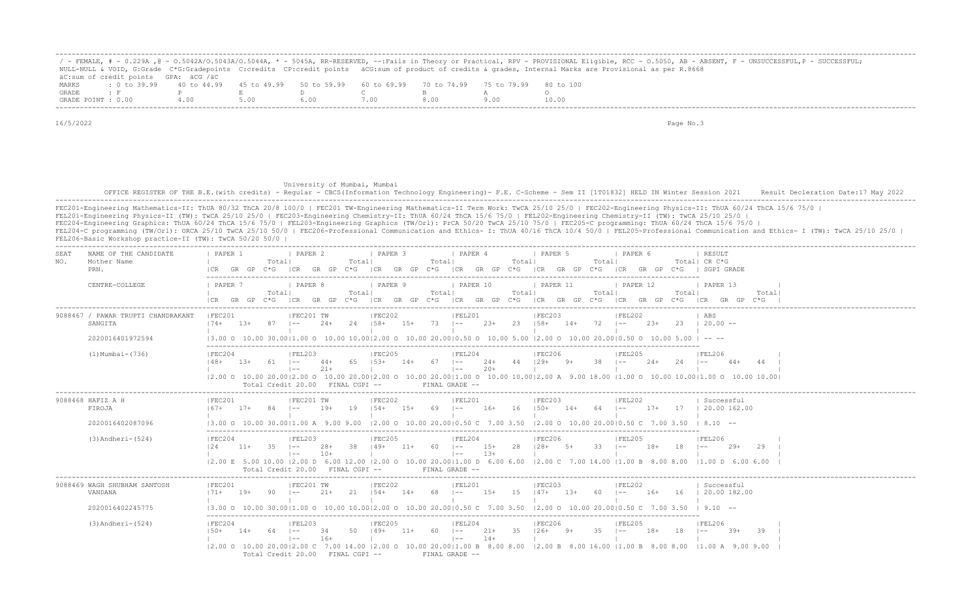|                    |                                      |                                                                                                |      |  |  | ' - FEMALE, # - 0.229A ,@ - 0.5042A/0.5043A/0.5044A, * - 5045A, RR-RESERVED, --:Fails in Theory or Practical, RPV - PROVISIONAL Eligible, RCC - 0.5050, AB - ABSENT, F - UNSUCCESSFUL,P - SUCCESSFUL; |
|--------------------|--------------------------------------|------------------------------------------------------------------------------------------------|------|--|--|-------------------------------------------------------------------------------------------------------------------------------------------------------------------------------------------------------|
|                    |                                      |                                                                                                |      |  |  | NULL-NULL & VOID, G:Grade C*G:Gradepoints C:credits CP:credit points äCG:sum of product of credits & qrades, Internal Marks are Provisional as per R.8668                                             |
|                    | äC:sum of credit points GPA: äCG /äC |                                                                                                |      |  |  |                                                                                                                                                                                                       |
| MARKS              |                                      | t 0 to 39,99 40 to 44,99 45 to 49,99 50 to 59,99 60 to 69,99 70 to 74,99 75 to 79,99 80 to 100 |      |  |  |                                                                                                                                                                                                       |
| GRADE              |                                      |                                                                                                |      |  |  |                                                                                                                                                                                                       |
| GRADE POINT : 0.00 |                                      | 4.00                                                                                           | 5.00 |  |  | 10.00                                                                                                                                                                                                 |

# University of Mumbai, Mumbai

 OFFICE REGISTER OF THE B.E.(with credits) - Regular - CBCS(Information Technology Engineering)- F.E. C-Scheme - Sem II [1T01832] HELD IN Winter Session 2021 Result Decleration Date:17 May 2022 -------------------------------------------------------------------------------------------------------------------------------------------------------------------------------------------------------------------

FEC201-Engineering Mathematics-II: ThUA 80/32 ThCA 20/8 100/0 | FEC201 TW-Engineering Mathematics-II Term Work: TwCA 25/10 25/0 | FEC202-Engineering Physics-II: ThUA 60/24 ThCA 15/6 75/0 | FEL201-Engineering Physics-II (TW): TwCA 25/10 25/0 | FEC203-Engineering Chemistry-II: ThUA 60/24 ThCA 15/6 75/0 | FEL202-Engineering Chemistry-II (TW): TwCA 25/10 25/0 | FEC204-Engineering Graphics: ThUA 60/24 ThCA 15/6 75/0 | FEL203-Engineering Graphics (TW/Orl): PrCA 50/20 TwCA 25/10 75/0 | FEC205-C programming: ThUA 60/24 ThCA 15/6 75/0 | FEL204-C programming (TW/Orl): ORCA 25/10 TwCA 25/10 50/0 | FEC206-Professional Communication and Ethics- I: ThUA 40/16 ThCA 10/4 50/0 | FEL205-Professional Communication and Ethics- I (TW): TwCA 25/10 25/0 | FEL206-Basic Workshop practice-II (TW): TwCA 50/20 50/0 |

| SEAT<br>Mother Name<br>NO.<br>PRN.      | NAME OF THE CANDIDATE                                  | PAPER 1<br>ICR.                                                                                 | GR GP  | Total  | <b>I PAPER 2</b><br>C*G ICR GR GP C*G                                     |                | Totall  | <b>I PAPER 3</b>                      |              | Totall | I PAPER 4<br>$ICR$ GR GP $C*G$ $ICR$ GR GP $C*G$                                    |                | Total | 1 PAPER 5<br>ICR GR GP C*G                                                                                                                                                                                                      |       | Totall       | I PAPER 6      |        |        | RESULT<br>Total  CR C*G<br>ICR GR GP C*G I SGPI GRADE                                                                                                                                                                                                           |                |
|-----------------------------------------|--------------------------------------------------------|-------------------------------------------------------------------------------------------------|--------|--------|---------------------------------------------------------------------------|----------------|---------|---------------------------------------|--------------|--------|-------------------------------------------------------------------------------------|----------------|-------|---------------------------------------------------------------------------------------------------------------------------------------------------------------------------------------------------------------------------------|-------|--------------|----------------|--------|--------|-----------------------------------------------------------------------------------------------------------------------------------------------------------------------------------------------------------------------------------------------------------------|----------------|
|                                         | CENTRE-COLLEGE                                         | I PAPER 7<br>ICR GR GP C*G ICR                                                                  |        | Totall | PAPER 8                                                                   |                | Totall  | PAPER 9                               |              | Totall | PAPER 10                                                                            |                | Total | PAPER 11                                                                                                                                                                                                                        |       | Totall       | PAPER 12       |        | Totall | PAPER 13<br>GR GP C*G  CR GR GP C*G  CR GR GP C*G  CR GR GP C*G  CR GR GP C*G  CR GR GP                                                                                                                                                                         | Total<br>$C*G$ |
| SANGITA                                 | 9088467 / PAWAR TRUPTI CHANDRAKANT<br>2020016401972594 | FEC201<br>$174+$                                                                                | 13+    | 87     | FEC201 TW<br>$ -$                                                         | 24+            | 24 158+ | FEC202                                | $15+ 73 + -$ |        | FEL201                                                                              | $23+$          | 23    | FEC203<br>$158+$<br>$(3.00 \t 0 \t 10.00 \t 30.00 \t 11.00 \t 0 \t 10.00 \t 10.00 \t 12.00 \t 0 \t 10.00 \t 20.00 \t 0.50 \t 0 \t 10.00 \t 5.00 \t 12.00 \t 0 \t 10.00 \t 20.00 \t 0.50 \t 0 \t 10.00 \t 5.00 \t --\frac{1}{2}$ | $14+$ | $72$ $1 - -$ | FEL202         | $23+$  | 23     | ABS<br>$120.00 -$                                                                                                                                                                                                                                               |                |
|                                         | $(1)$ Mumbai - $(736)$                                 | IFEC204<br>$148+$                                                                               | $1.3+$ |        | IFEL203<br>$1 - -$<br>$\vert$ $-$<br>Total Credit 20.00 FINAL CGPI --     | 44+<br>$21+$   | 65      | FEC205<br>$1.5.3+$                    | $14+$        | 67     | IFEL204<br>$\vert - -$<br>$1 - -$<br>FINAL GRADE --                                 | 24+<br>$20+$   | 44    | IFEC206<br>$129+$                                                                                                                                                                                                               |       | 38           | FEL205         | $2.4+$ | 24     | IFEL206<br>$(2.00 \t{0} 10.00 \t{2} 0.00   2.00 \t{0} 10.00 \t{2} 0.00   2.00 \t{0} 10.00 \t{0} 10.00 \t{10.00} 0 \t{10.00} 10.00   1.00 \t{0} 10.00   2.00 \t{0} 10.00 \t{10.00} 10.00 \t{10.00} 10.00   1.00 \t{0} 10.00   1.00 \t{0} 10.00   1.00 \t{0} 10.$ |                |
| 9088468 HAFIZ A H<br>FIROJA             | 2020016402087096                                       | IFEC201<br>$167 + 17 +$                                                                         |        | 84     | IFEC201 TW<br>$ -$                                                        | $19+$          | 19      | IFEC202<br>$154+$                     | 15+          | 69 –   | IFEL201                                                                             | $16+$          | 16    | IFEC203<br>$150+$                                                                                                                                                                                                               | $14+$ | 64 –         | IFEL202        | $17+$  |        | Successful<br>17   20.00 162.00<br>13.00 0 10.00 30.0011.00 A 9.00 9.00 12.00 O 10.00 20.0010.50 C 7.00 3.50 12.00 O 10.00 20.0010.50 C 7.00 3.50 I 8.10 --                                                                                                     |                |
|                                         | $(3)$ Andheri- $(524)$                                 | IFEC204                                                                                         | $11+$  | 35     | IFEL203<br>$1 - -$<br>$\vert$ $-$<br>Total Credit 20.00 FINAL CGPI --     | $28+$<br>$10+$ | -38     | FEC205<br>$149+$                      | $11+$        | 60.    | FEL204<br>$\vert - -$<br>$1 - -$<br>FINAL GRADE --                                  | $15+$<br>$13+$ | -28   | IFEC206<br>$128+$                                                                                                                                                                                                               | $5+$  | 33.          | IFEL205        | $18+$  | 18     | IFEL206<br>$29+$<br> 2.00 E 5.00 10.00  2.00 D 6.00 12.00  2.00 O 10.00 20.00 1.00 D 6.00 6.00  2.00 C 7.00 14.00  1.00 B 8.00 8.00  1.00 D 6.00 6.00                                                                                                           | - 29           |
| 9088469 WAGH SHUBHAM SANTOSH<br>VANDANA | 2020016402245775                                       | IFEC201<br>$171+$<br>13.00 0 10.00 30.0011.00 0 10.00 10.0012.00 0 10.00 20.0010.50 C 7.00 3.50 | $19+$  | 90.    | IFEC201 TW<br>$1 - -$                                                     | $21+$          | 21      | IFEC202<br>$154+$                     | $14+$        | 68 -   | IFEL201<br>$1 - -$                                                                  | 15+            | - 15  | IFEC203<br>$147+$<br>12.00 O 10.00 20.0010.50 C 7.00 3.50                                                                                                                                                                       | 13+   | 60           | IFEL202<br>$-$ | 16+    | 16     | Successful<br>  20.00 182.00<br>$19.10 - -$                                                                                                                                                                                                                     |                |
|                                         | $(3)$ Andheri- $(524)$                                 | IFEC204<br>$150+$<br>12.00 0 10.00 20.0012.00 C 7.00 14.00                                      |        |        | IFEL203<br>$\vert$ $-$<br>$\vert$ $-$<br>Total Credit 20.00 FINAL CGPI -- | 34<br>$16+$    | 50      | IFEC205<br>$149+$<br>$12.00$ $\Omega$ | $11+$        | 60.    | IFEL204<br>$1 - -$<br>$\vert$ $-$<br>10.00 20.0011.00 B 8.00 8.00<br>FINAL GRADE -- | $21+$<br>$14+$ | 35    | IFEC206<br>$126+$<br>$12.00 \text{ B}$ 8.00 16.00 11.00 B 8.00 8.00                                                                                                                                                             |       |              | IFEL205        |        | 18     | IFEL206<br>39+<br>$\vert - - \vert$<br>11.00 A 9.00 9.00                                                                                                                                                                                                        | 39             |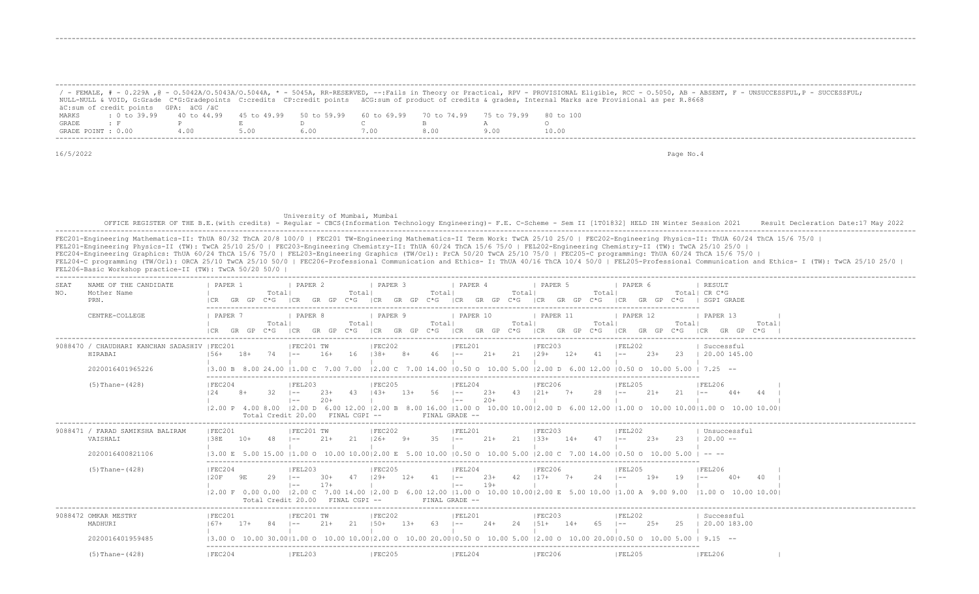|                                                                                                                       |     |      |       |      |     | / - FEMALE, # - 0.229A ,@ - 0.5042A/0.5043A/0.5044A, * - 5045A, RR-RESERVED, --:Fails in Theory or Practical, RPV - PROVISIONAL Eligible, RCC - 0.5050, AB - ABSENT, F - UNSUCCESSFUL,P - SUCCESSFUL;<br>NULL-NULL & VOID, G:Grade C*G:Gradepoints C:credits CP:credit points äCG:sum of product of credits & qrades, Internal Marks are Provisional as per R.8668 |
|-----------------------------------------------------------------------------------------------------------------------|-----|------|-------|------|-----|--------------------------------------------------------------------------------------------------------------------------------------------------------------------------------------------------------------------------------------------------------------------------------------------------------------------------------------------------------------------|
| äC:sum of credit points GPA: äCG /äC                                                                                  |     |      |       |      |     |                                                                                                                                                                                                                                                                                                                                                                    |
| t 0 to 39.99   40 to 44.99   45 to 49.99   50 to 59.99   60 to 69.99   70 to 74.99   75 to 79.99   80 to 100<br>MARKS |     |      |       |      |     |                                                                                                                                                                                                                                                                                                                                                                    |
| GRADE                                                                                                                 |     |      |       |      |     |                                                                                                                                                                                                                                                                                                                                                                    |
| GRADE POINT : 0.00                                                                                                    | 400 | 5.00 | 6 O O | '.00 | 800 | 10.00                                                                                                                                                                                                                                                                                                                                                              |

-------------------------------------------------------------------------------------------------------------------------------------------------------------------------------------------------------------------

-------------------------------------------------------------------------------------------------------------------------------------------------------------------------------------------------------------------

16/5/2022 Page No.4

#### University of Mumbai, Mumbai OFFICE REGISTER OF THE B.E.(with credits) - Regular - CBCS(Information Technology Engineering) - F.E. C-Scheme - Sem II [1T01832] HELD IN Winter Session 2021 Result Decleration Date:17 May 2022 -------------------------------------------------------------------------------------------------------------------------------------------------------------------------------------------------------------------

FEC201-Engineering Mathematics-II: ThUA 80/32 ThCA 20/8 100/0 | FEC201 TW-Engineering Mathematics-II Term Work: TwCA 25/10 25/0 | FEC202-Engineering Physics-II: ThUA 60/24 ThCA 15/6 75/0 | FEL201-Engineering Physics-II (TW): TwCA 25/10 25/0 | FEC203-Engineering Chemistry-II: ThUA 60/24 ThCA 15/6 75/0 | FEL202-Engineering Chemistry-II (TW): TwCA 25/10 25/0 |

FEC204-Engineering Graphics: ThUA 60/24 ThCA 15/6 75/0 | FEL203-Engineering Graphics (TW/Orl): PrCA 50/20 TwCA 25/10 75/0 | FEC205-C programming: ThUA 60/24 ThCA 15/6 75/0 |

FEL204-C programming (TW/Orl): ORCA 25/10 TwCA 25/10 50/0 | FEC206-Professional Communication and Ethics- I: ThUA 40/16 ThCA 10/4 50/0 | FEL205-Professional Communication and Ethics- I (TW): TwCA 25/10 25/0 | FEL206-Basic Workshop practice-II (TW): TwCA 50/20 50/0 |

| NAME OF THE CANDIDATE<br>SEAT<br>NO.<br>Mother Name<br>PRN.                  | PAPER<br>Totall<br>$C*G$<br>GR                                          | 1 PAPER 2<br>Total<br>$C*G$<br>ICR<br>GR                                                                                     | PAPER 3<br>Totall<br>ICR<br>GR<br><b>GP</b><br>$C*G$                             | <i>I</i> PAPER 4<br>Total<br>I CR<br>GR<br>GP<br>C*G                     | <b>I PAPER 5</b><br>I PAPER 6<br>Totall<br>GR                                                                                                                                      | RESULT<br>Total  CR C*G<br>SGPT GRADE                              |
|------------------------------------------------------------------------------|-------------------------------------------------------------------------|------------------------------------------------------------------------------------------------------------------------------|----------------------------------------------------------------------------------|--------------------------------------------------------------------------|------------------------------------------------------------------------------------------------------------------------------------------------------------------------------------|--------------------------------------------------------------------|
| CENTRE-COLLEGE                                                               | PAPER 7<br>Total <br>$C * G$                                            | I PAPER 8<br>Total<br>ICR<br>GP.<br>$C * G$<br>GR                                                                            | I PAPER 9<br>Total<br>ICR<br>GR<br>$C*G$<br>GP                                   | <b>I PAPER 10</b><br>Total<br>ICR<br>C*G<br>GR GP                        | <b>I PAPER 11</b><br>1 PAPER 12<br>Totall<br>GR<br>GP<br>$C*G$<br>ICR.<br>ICR.<br>GR.                                                                                              | <b>I PAPER 13</b><br>Total<br>Total <br>$C * G$<br>$C * G$<br>GR   |
| 9088470 / CHAUDHARI KANCHAN SADASHIV   FEC201<br>HIRABAI<br>2020016401965226 | 74<br>$18+$<br>$156+$<br>13.00 B 8                                      | IFEC201 TW<br>16<br>$16+$<br>$1 - -$<br>24.00 11.00 C                                                                        | IFEC202<br>$138+$<br>$8+$<br>46<br>7.00 14.00 10.50 0<br>$12.00 \, \text{C}$     | IFEL201<br>$21+$<br>21<br>$1 - -$                                        | IFEC203<br>IFEL202<br>$12+$<br>$23+$<br>$129+$<br>41<br>$1 - -$<br>10.00 5.00 12.00 D 6.00 12.00<br>$10.50$ $\Omega$                                                               | Successful<br>23<br>20.00 145.00<br>$7.25 - -$                     |
| $(5)$ Thane- $(428)$                                                         | IFEC204<br>32<br>$8+$<br>124<br>12.00 P 4.00 8.00<br>Total Credit 20.00 | IFEL203<br>$23+$<br>43<br>$1 - -$<br>$20+$<br>$\vert - - \vert$<br>FINAL CGPI --                                             | IFEC205<br>$1.3+$<br>56<br>$14.3+$                                               | IFEL204<br>$23+$<br>-43<br>$1 - -$<br>$20+$<br>$1 - -$<br>FINAL GRADE -- | IFEC206<br>IFEL205<br>$121 +$<br>$7+$<br>28<br>$21+$<br>$1 - -$<br>12.00 D 6.00 12.00 12.00 B 8.00 16.00 11.00 O 10.00 10.0012.00 D 6.00 12.00 11.00 O 10.00 10.0011.00 O 10.00 10 | IFEL206<br>21<br>44<br>$44+$<br>$1 - -$                            |
| 9088471 / FARAD SAMIKSHA BALIRAM<br>VAISHALI<br>2020016400821106             | IFEC201<br>138E<br>$10+$<br>13.00 E                                     | IFEC201 TW<br>2.1<br>$21+$<br>l ——<br>15 00 11 00 0                                                                          | IFEC202<br>35<br>$126+$<br>$9+$<br>5.00 10.00 10.50 0<br>.00 10.0012.00 F.       | IFEL201<br>$21+$<br>2.1<br>$1 - -$<br>10.00 5.00                         | IFEC203<br>IFEL202<br>$2.3+$<br>$1.3.3+$<br>$14+$<br>47<br>$- -$<br>12.00 <sub>C</sub><br>$10.50$ $\Omega$<br>7.00.14.00                                                           | Unsuccessful<br>$20.00 -$<br>23.<br>$\cdots$                       |
| $(5)$ Thane- $(428)$                                                         | IFEC204<br>120F<br>29<br>9F.<br>$12.00 \t F \t 0.00$<br>0.00<br>Total   | IFEL203<br>47<br>$1 - -$<br>$30+$<br>$17+$<br>$1 - -$<br>$12.00 \text{ C}$<br>7.00 14.00<br>Credit 20.00<br>$FTNAI, CGPT --$ | IFEC205<br>$12+$<br>$129+$<br>-41<br>FINAL GRADE                                 | IFEL204<br>$23+$<br>42<br>$\vert$ $-$<br>$19+$<br>$- -$                  | IFEC206<br> FEL205<br>$117+$<br>$7+$<br>$19+$<br>$1 - -$<br>12.00 D 6.00 12.00 11.00 O 10.00 10.0012.00 E 5.00 10.00 11.00 A 9.00 9.00                                             | IFEL206<br>19<br>$40+$<br>$1 - -$<br>$11.00 \Omega$<br>10.00 10.00 |
| 9088472 OMKAR MESTRY<br>MADHURI<br>2020016401959485                          | IFEC201<br>$167+$<br>$17+$<br>84                                        | IFEC201 TW<br>21<br>$21+$<br>$1 - -$<br>13.00 0 10.00 30.0011.00 0 10.00 10.0012.00 0                                        | _____________________<br>IFEC202<br>$150+$<br>$13+$<br>-63<br>10.00 20.0010.50 0 | IFEL201<br>$24+$<br>2.4<br>$1 - -$<br>5.00<br>10.00                      | FEC203<br>  FEL202<br>$151+$<br>$14+$<br>65<br>$2.5+$<br>$- -$<br>$12.00$ O<br>10.00 20.0010.50 0                                                                                  | Successful<br>25<br>20.00 183.00<br>$9.15 - -$<br>-500             |
| $(5)$ Thane- $(428)$                                                         | IFEC204                                                                 | IFEL203                                                                                                                      | IFEC205                                                                          | FEL204                                                                   | <b>IFEC206</b><br><b>IFEL205</b>                                                                                                                                                   | IFEL206                                                            |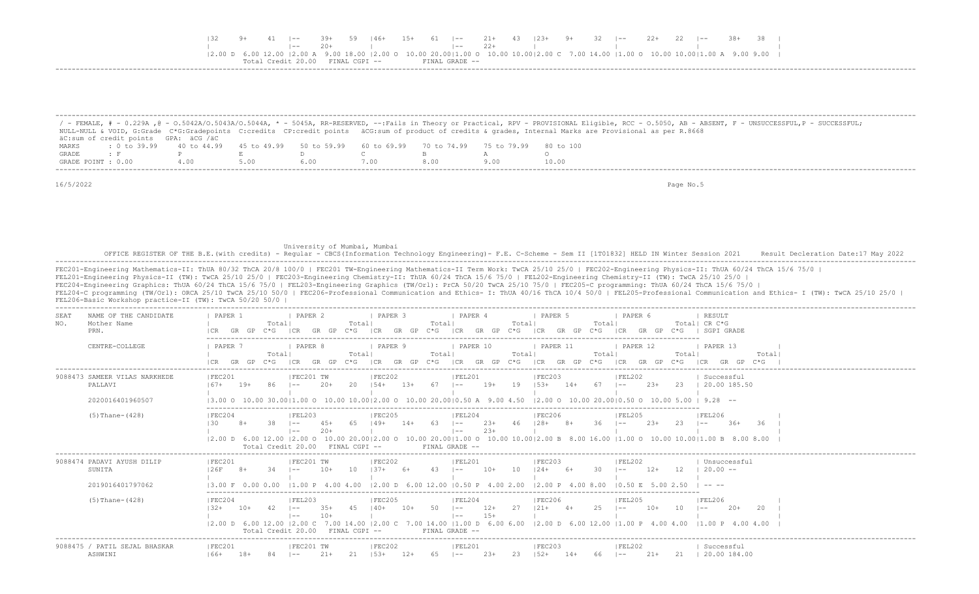| T 32 - |  | 41  -- 39+ 59  46+ 15+ 61  -- 21+ 43  23+ 9+ 32  -- 22+ 22  -- 38+ 38                                                                                                                                     |  |                |       |  |  |  |  |  |  |
|--------|--|-----------------------------------------------------------------------------------------------------------------------------------------------------------------------------------------------------------|--|----------------|-------|--|--|--|--|--|--|
|        |  |                                                                                                                                                                                                           |  | $1 - -$        | $22+$ |  |  |  |  |  |  |
|        |  | $(2.00 \ b \ 6.00 \ 12.00 \ 12.00 \ A \ 9.00 \ 18.00 \ (2.00 \ 0 \ 10.00 \ 20.00) \ 1.00 \ 0 \ 10.00 \ 10.00 \ [2.00 \ C \ 7.00 \ 14.00 \ (1.00 \ 0 \ 10.00 \ 10.00) \ 1.00 \ A \ 9.00 \ 9.00 \ 1.00 \ C$ |  |                |       |  |  |  |  |  |  |
|        |  | $Credit$ 20 00 $FTNAI$ . $CGPT$ $-$                                                                                                                                                                       |  | FINAL GRADE -- |       |  |  |  |  |  |  |
|        |  |                                                                                                                                                                                                           |  |                |       |  |  |  |  |  |  |

|                    |                                      |     |      |                                                                       |      |      | / - FEMALE, # - 0.229A ,@ - 0.5042A/0.5043A/0.5044A, * - 5045A, RR-RESERVED, --:Fails in Theory or Practical, RPV - PROVISIONAL Eligible, RCC - 0.5050, AB - ABSENT, F - UNSUCCESSFUL,P - SUCCESSFUL; |
|--------------------|--------------------------------------|-----|------|-----------------------------------------------------------------------|------|------|-------------------------------------------------------------------------------------------------------------------------------------------------------------------------------------------------------|
|                    |                                      |     |      |                                                                       |      |      | NULL-NULL & VOID, G:Grade C*G:Gradepoints C:credits CP:credit points äCG:sum of product of credits & grades, Internal Marks are Provisional as per R.8668                                             |
|                    | äC:sum of credit points GPA: äCG /äC |     |      |                                                                       |      |      |                                                                                                                                                                                                       |
| MARKS              | $: 0 \text{ to } 39.99$ 40 to 44.99  |     |      | 45 to 49.99 50 to 59.99 60 to 69.99 70 to 74.99 75 to 79.99 80 to 100 |      |      |                                                                                                                                                                                                       |
| GRADE              |                                      |     |      |                                                                       |      |      |                                                                                                                                                                                                       |
| GRADE POINT : 0.00 |                                      | 400 | 5.00 |                                                                       | .00. | 8.00 | 10.00                                                                                                                                                                                                 |

-------------------------------------------------------------------------------------------------------------------------------------------------------------------------------------------------------------------

16/5/2022 Page No.5

 University of Mumbai, Mumbai OFFICE REGISTER OF THE B.E.(with credits) - Regular - CBCS(Information Technology Engineering) - F.E. C-Scheme - Sem II [1T01832] HELD IN Winter Session 2021 Result Decleration Date:17 May 2022 -------------------------------------------------------------------------------------------------------------------------------------------------------------------------------------------------------------------

FEC201-Engineering Mathematics-II: ThUA 80/32 ThCA 20/8 100/0 | FEC201 TW-Engineering Mathematics-II Term Work: TwCA 25/10 25/0 | FEC202-Engineering Physics-II: ThUA 60/24 ThCA 15/6 75/0 | FEL201-Engineering Physics-II (TW): TwCA 25/10 25/0 | FEC203-Engineering Chemistry-II: ThUA 60/24 ThCA 15/6 75/0 | FEL202-Engineering Chemistry-II (TW): TwCA 25/10 25/0 | FEC204-Engineering Graphics: ThUA 60/24 ThCA 15/6 75/0 | FEL203-Engineering Graphics (TW/Orl): PrCA 50/20 TwCA 25/10 75/0 | FEC205-C programming: ThUA 60/24 ThCA 15/6 75/0 | FEL204-C programming (TW/Orl): ORCA 25/10 TwCA 25/10 50/0 | FEC206-Professional Communication and Ethics- I: ThUA 40/16 ThCA 10/4 50/0 | FEL205-Professional Communication and Ethics- I (TW): TwCA 25/10 25/0 | FEL206-Basic Workshop practice-II (TW): TwCA 50/20 50/0 |

| NAME OF THE CANDIDATE<br>SEAT                                | PAPER 1                              | PAPER 2<br>PAPER 3                                                                                                                               | PAPER 4<br>PAPER 5<br>PAPER 6                                                                                                                                                                                                                                   | RESULT                                                                    |
|--------------------------------------------------------------|--------------------------------------|--------------------------------------------------------------------------------------------------------------------------------------------------|-----------------------------------------------------------------------------------------------------------------------------------------------------------------------------------------------------------------------------------------------------------------|---------------------------------------------------------------------------|
| Mother Name<br>NO.<br>PRN.                                   | Total<br>GR.<br>C*G.                 | Total <br>GP                                                                                                                                     | Total<br>Total<br>Total<br>GP<br>C*G.                                                                                                                                                                                                                           | Total  CR C*G<br>SGPI GRADE<br>C*G.                                       |
| CENTRE-COLLEGE                                               | PAPER<br>Total <br>ነ* ና              | PAPER 8<br>PAPER 9<br>Total <br>GP<br>GR.                                                                                                        | PAPER 10<br>PAPER 11<br>PAPER 12<br>Total<br>Total<br>Total<br>GP<br>GP<br>C*G-<br>ICR<br>GR.<br>C*G-<br>GR<br>GP<br>C*G.<br>LCR.<br>ICR<br>GR                                                                                                                  | PAPER 13<br>Total<br>Total<br>C*G -<br>GR<br>$C * G$<br>LCR.              |
| 9088473 SAMEER VILAS NARKHEDE<br>PALLAVI<br>2020016401960507 | FEC201<br>$167+$<br>$19+$<br>86      | IFEC201 TW<br> FEC202<br>20<br>$2.0+$<br>$1.54+$<br>$13+$<br>$- -$<br>13.00 0 10.00 30.0011.00 0 10.00 10.0012.00 0 10.00 20.0010.50 A 9.00 4.50 | FEL201<br> FEC203<br> FEL202<br>-67<br>$19+$<br>19<br>$153+$<br>67<br>$2.3+$<br>$14+$<br>$\sim$<br>$1 - -$<br>$12.00$ $\Omega$ $10.00$ $20.0010.50$ $\Omega$ $10.00$ $5.00$                                                                                     | Successful<br>23<br>20.00 185.50<br>$9.28 - -$                            |
| $(5)$ Thane- $(428)$                                         | FEC204<br>130                        | IFEL203<br>IFEC205<br>$\sim$ $-$<br>l ——<br>Total Credit 20.00 FINAL CGPI --                                                                     | IFEL204<br>IFEC206<br>IFEL205<br>63<br>$23+$<br>$128+$<br>$2.3+$<br>$1 - -$<br>$- -$<br>$23+$<br>$- -$<br> 2.00 D 6.00 12.00  2.00 O 10.00 20.00 2.00 O 10.00 20.00 1.00 O 10.00 10.00 2.00 B 8.00 16.00  1.00 O 10.00 10.00 1.00 B 8.00 8.00<br>FINAL GRADE -- | IFEL206<br>23<br>36<br>$36+$<br>$- -$                                     |
| 9088474 PADAVI AYUSH DILIP<br>SUNITA<br>2019016401797062     | IFEC201<br>126F<br>13.00 F 0.00 0.00 | IFEC202<br>IFEC201 TW<br>$10+$<br>1 O<br>$11.00 \text{ P}$ 4.00 4.00                                                                             | <b>IFEC203</b><br>IFEL201<br>IFEL202<br>10<br>$12.4+$<br>$12+$<br>$10+$<br>$- -$<br>l ——<br>$12.00$ D 6.00 12.00 10.50 P 4.00 2.00<br>$12.00 \text{ P}$ 4.00 8.00<br>$10.50$ F.<br>5.00 2.50                                                                    | Unsuccessful<br>12 <sup>°</sup><br>$20.00 -$<br>$\cdots$                  |
| $(5)$ Thane- $(428)$                                         | FEC204<br>Total Credit 20.00         | <b>IFEC205</b><br> FEL203<br>$140+$<br>$\vert - -$<br>$10+$<br>$- -$<br>$12.00$ D 6.00 12.00 12.00 C 7.00 14.00 12.00 C<br>FINAL CGPI --         | FEL204<br> FEC206<br> FEL205<br>25<br>50<br>$12+$<br>27<br>$10+$<br>$121 +$<br>$4+$<br>$1 - -$<br>$15+$<br>$1 - -$<br>7.00 14.00   1.00 D 6.00 6.00   2.00 D 6.00 12.00   1.00 P 4.00 4.00<br>FINAL GRADE --                                                    | <b>FEL206</b><br>$20+$<br>20<br>$\sim$ $-$<br>$11.00 \text{ P}$ 4.00 4.00 |
| 9088475 / PATIL SEJAL BHASKAR<br>ASHWINI                     | IFEC201<br>$166+$<br>$18+$           | FEC202<br>IFEC201 TW<br>$21+$<br>$153+$<br>$1 - -$                                                                                               | IFEC203<br> FEL201<br>IFEL202<br>$23+$<br>-23<br>$1.52+$<br>$21+$<br>$1 - -$<br>$\sim$ $-$                                                                                                                                                                      | Successful<br>20.00 184.00                                                |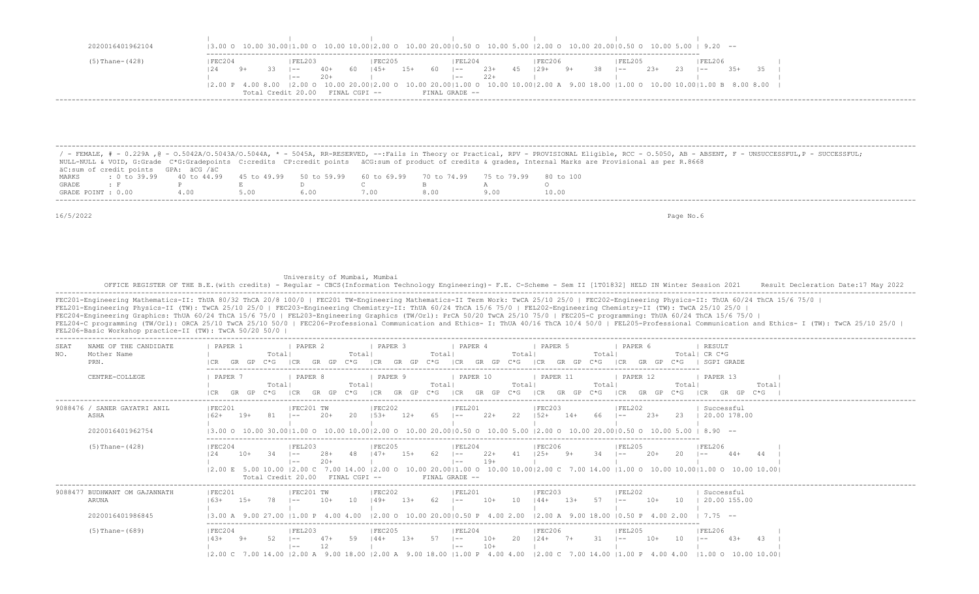|                      |        |    |            |        |       | $(3.00 \circ 10.00 \cdot 30.00)1.00 \circ 10.00 \cdot 10.00)2.00 \circ 10.00 \cdot 20.00)0.50 \circ 10.00 \cdot 5.00 \cdot 20.00 \circ 20.00)0.50 \circ 10.00 \cdot 5.00 \cdot 5.00 \cdot 5.00 \cdot 5.00 \cdot 5.00$                                                                                                          |       |            |       |     |        |    |      |        |       |    |        |  |  |
|----------------------|--------|----|------------|--------|-------|--------------------------------------------------------------------------------------------------------------------------------------------------------------------------------------------------------------------------------------------------------------------------------------------------------------------------------|-------|------------|-------|-----|--------|----|------|--------|-------|----|--------|--|--|
| $(5)$ Thane- $(428)$ | FEC204 |    |            | FEL203 |       | IFEC205                                                                                                                                                                                                                                                                                                                        |       | IFEL204    |       |     | FEC206 |    |      | FEL205 |       |    | FEL206 |  |  |
|                      | 24     | 9+ | $33 - 1 =$ |        | 40+   | 145+                                                                                                                                                                                                                                                                                                                           | $15+$ | 60 – 1 – – | $23+$ | 45. | 129+   | 9+ | - 38 | $- -$  | $23+$ | 23 | $- -$  |  |  |
|                      |        |    |            | $- -$  | $20+$ |                                                                                                                                                                                                                                                                                                                                |       | $- -$      | $22+$ |     |        |    |      |        |       |    |        |  |  |
|                      |        |    |            |        |       | $ 2.00\text{ P }4.00\text{ 8.00 } 2.00\text{ O }10.00\text{ } 2.00\text{ O }10.00 2.00\text{ O }10.00\text{ } 2.00\text{ O }10.00 1.00\text{ O }10.00 1.00\text{ A }9.00\text{ }18.00\text{ } 1.00\text{ O }10.00 1.00\text{ B }8.00\text{ }8.00\text{ } 1.00\text{ A }9.00\text{ } 1.00\text{ A }9.00\text{ } 1.00\text{ A }$ |       |            |       |     |        |    |      |        |       |    |        |  |  |

 ------------------------------------------------------------------------------------------------------------------------------------------------------------------------------------------------------------------- / - FEMALE, # - 0.229A ,@ - O.5042A/O.5043A/O.5044A, \* - 5045A, RR-RESERVED, --:Fails in Theory or Practical, RPV - PROVISIONAL Eligible, RCC - O.5050, AB - ABSENT, F - UNSUCCESSFUL,P - SUCCESSFUL; NULL-NULL & VOID, G:Grade C\*G:Gradepoints C:credits CP:credit points äCG:sum of product of credits & grades, Internal Marks are Provisional as per R.8668 äC:sum of credit points GPA: äCG /äC MARKS : 0 to 39.99 40 to 44.99 45 to 49.99 50 to 59.99 60 to 69.99 70 to 74.99 75 to 79.99 80 to 100<br>GRADE : F P E D C B A O GRADE : F P E D C B A O GRADE POINT : 0.00 4.00 5.00 6.00 7.00 8.00 9.00 10.00 -------------------------------------------------------------------------------------------------------------------------------------------------------------------------------------------------------------------

University of Mumbai, Mumbai

16/5/2022 Page No.6

|                                                             | OFFICE REGISTER OF THE B.E. (with credits) - Regular - CBCS (Information Technology Engineering) - F.E. C-Scheme - Sem II [1T01832] HELD IN Winter Session 2021<br>Result Decleration Date: 17 May 2022                                                                                                                                                                                                                                                                                                                                                                                                                                                                                                                                                                     |
|-------------------------------------------------------------|-----------------------------------------------------------------------------------------------------------------------------------------------------------------------------------------------------------------------------------------------------------------------------------------------------------------------------------------------------------------------------------------------------------------------------------------------------------------------------------------------------------------------------------------------------------------------------------------------------------------------------------------------------------------------------------------------------------------------------------------------------------------------------|
| FEL206-Basic Workshop practice-II (TW): TwCA 50/20 50/0     | FEC201-Engineering Mathematics-II: ThUA 80/32 ThCA 20/8 100/0   FEC201 TW-Engineering Mathematics-II Term Work: TwCA 25/10 25/0   FEC202-Engineering Physics-II: ThUA 60/24 ThCA 15/6 75/0  <br>FEL201-Engineering Physics-II (TW): TwCA 25/10 25/0   FEC203-Engineering Chemistry-II: ThUA 60/24 ThCA 15/6 75/0   FEL202-Engineering Chemistry-II (TW): TwCA 25/10 25/0  <br>FEC204-Engineering Graphics: ThUA 60/24 ThCA 15/6 75/0   FEL203-Engineering Graphics (TW/Orl): PrCA 50/20 TwCA 25/10 75/0   FEC205-C programming: ThUA 60/24 ThCA 15/6 75/0<br>FEL204-C programming (TW/Orl): ORCA 25/10 TwCA 25/10 50/0   FEC206-Professional Communication and Ethics- I: ThUA 40/16 ThCA 10/4 50/0   FEL205-Professional Communication and Ethics- I (TW): TwCA 25/10 25/0 |
| NAME OF THE CANDIDATE<br>SEAT<br>NO.<br>Mother Name<br>PRN. | PAPER 1<br>PAPER 2<br>I PAPER 3<br>PAPER 5<br>RESULT<br><b>PAPER 4</b><br>PAPER 6<br>Totall<br>Totall CR C*G<br>Totall<br>Totall<br>Totall<br>Totall<br>$C * G$<br>GR GP<br>$C * G$<br>ICR<br>GR GP<br>$C * G$<br>GR GP C*G ICR<br>GR GP<br>GR GP C*G   SGPI GRADE<br>GP<br>ICR<br>$C * G$<br> CR                                                                                                                                                                                                                                                                                                                                                                                                                                                                           |
| CENTRE-COLLEGE                                              | PAPER <sub>7</sub><br>  PAPER 8<br>  PAPER 9<br>  PAPER 11<br>  PAPER 10<br>PAPER 12<br>PAPER 13<br>Totall<br>Totall<br>Totall<br>Totall<br>Totall<br>Total<br>Total<br>GR GP<br>GP<br>GP<br>GR GP<br>$C * G$<br>GP<br>$C * G$<br>ICR<br>GR<br>$C*G$<br>ICR<br>GR<br>$C*G$<br>ICR<br>$C*G$<br>$C*G$<br>ICR<br>GR<br>ICR                                                                                                                                                                                                                                                                                                                                                                                                                                                     |
| 9088476 / SANER GAYATRI ANIL<br>ASHA<br>2020016401962754    | IFEC201<br> FEC202<br> FEC203<br> FEL202<br>Successful<br>IFEC201 TW<br> FEL201<br>22<br>$152+$<br>20.00 178.00<br>20<br>$153+$<br>$12+$<br>65<br>$2.2 +$<br>$14+$<br>66<br>$2.3+$<br>23<br>$162+$<br>$19+$<br>$1 - -$<br>13,000 10,0030,0011,000 10,0010,0012,000 10,0020,0010,500 10,005,0012,000 10,0020,0010,500 10,005,00                                                                                                                                                                                                                                                                                                                                                                                                                                              |
| $(5)$ Thane- $(428)$                                        | IFEC204<br>IFEL203<br>IFEC205<br>IFEL204<br><b>IFEC206</b><br><b>IFEL206</b><br>IFEL205<br>62<br>20<br>44<br>$10+$<br>34<br>48<br>$147+$<br>$1.5+$<br>$22+$<br>41<br>12.4<br>$20+$<br>$44+$<br>$1 - -$<br>$1 - -$<br>$19+$<br>$1 - -$<br>$1 - -$<br>12.00 E 5.00 10.00 12.00 C 7.00 14.00 12.00 O 10.00 20.0011.00 O 10.00 10.0012.00 C 7.00 14.00 11.00 O 10.00 10.0011.00 O 10.00 10.00 10.00<br>FINAL GRADE --<br>Total Credit 20.00<br>$FTNAI, CGPT - -$                                                                                                                                                                                                                                                                                                                |
| 9088477 BUDHWANT OM GAJANNATH<br>ARUNA<br>2020016401986845  | IFEL201<br>IFEC201<br>IFEC201 TW<br>IFEC202<br>IFEC203<br><b>IFEL202</b><br>Successful<br>20.00 155.00<br>$10+$<br>1 O<br>$149+$<br>$13+$<br>10<br>10<br>$163+$<br>$15+$<br>$144+$<br>$1.3+$<br>$1 - -$<br>$12.00$ O $10.00$ $20.0010.50$ P $4.00$ $2.00$<br>$12.00$ A $9.00$ 18.00 10.50 P $4.00$ 2.00<br>9 00 27 00 11 00 P 4 00 4 00                                                                                                                                                                                                                                                                                                                                                                                                                                     |
| $(5)$ Thane- $(689)$                                        | IFEC204<br>IFEC205<br>IFEL203<br>IFEL204<br>IFEC206<br>IFEL205<br>IFEL206<br>59<br>20<br>31<br>43<br>$144+$<br>$13+$<br>57<br>$10+$<br>$124+$<br>$7+$<br>$10+$<br>10 <sup>°</sup><br>$4.3+$<br>$14.3+$<br>$9+$<br>$1 - -$<br>$1 - -$<br>$1 - -$<br>12<br>$10+$<br>$1 - -$<br>$1 - -$<br>$ 2.00 \text{ C}$ 7.00 14.00 $ 2.00 \text{ A}$ 9.00 18.00 $ 2.00 \text{ A}$ 9.00 18.00 $ 1.00 \text{ P}$ 4.00 4.00<br>$12.00 \text{ C}$ 7.00 14.00 11.00 P 4.00 4.00 11.00 O 10.00 10.00                                                                                                                                                                                                                                                                                            |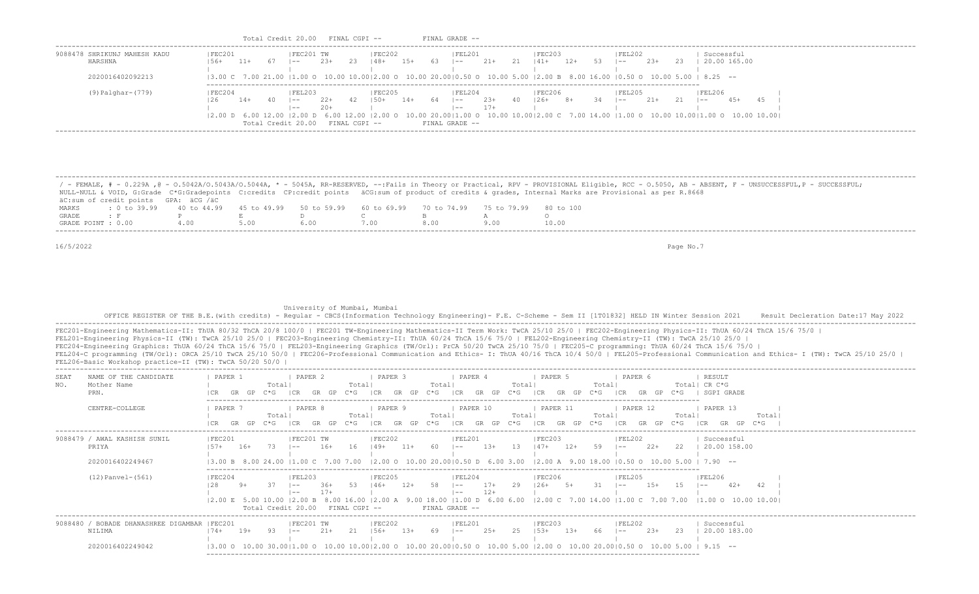| Total Credit 20.00<br>FINAL CGPI --<br>FINAL GRADE -- |  |
|-------------------------------------------------------|--|
|-------------------------------------------------------|--|

| SHRIKUNJ MAHESH KADU   | FEC201 |       | FEC201 TW          |              |               | <b>FEC202</b> |        |     | IFEL201                                                                                                                                                                                                                                                                                                                                                      |                |    | <b>IFEC203</b> |       | FEL202  |        |    | Successful |              |  |
|------------------------|--------|-------|--------------------|--------------|---------------|---------------|--------|-----|--------------------------------------------------------------------------------------------------------------------------------------------------------------------------------------------------------------------------------------------------------------------------------------------------------------------------------------------------------------|----------------|----|----------------|-------|---------|--------|----|------------|--------------|--|
| HARSHNA                |        | $11+$ | $- -$              | $2.3+$       | -23-          | 48+           | $1.5+$ | 6.3 | $- -$                                                                                                                                                                                                                                                                                                                                                        | $21+$          |    | $141+$         | $12+$ | $- -$   | $2.3+$ | 23 |            | 20.00 165.00 |  |
| 2020016402092213       |        |       |                    |              |               |               |        |     | $(3.00 \text{ C} \quad 7.00 \text{ } 21.00 \text{ }  1.00 \text{ } 0.00 \text{ } 10.00 \text{ }  2.00 \text{ } 0.01 \text{ } 10.00 \text{ } 20.00 \text{ }  0.50 \text{ } 0.10.00 \text{ } 5.00 \text{ }  2.00 \text{ B} \quad 8.00 \text{ } 16.00 \text{ }  0.50 \text{ } 0.10.00 \text{ } 5.00 \text{ }  8.25 \text{ } -5.00 \text{ }  0.50 \text{ } 0.00$ |                |    |                |       |         |        |    |            |              |  |
| $(9)$ Palghar- $(779)$ | FEC204 |       | IFEL203            |              |               | FEC205        |        |     | FEL204                                                                                                                                                                                                                                                                                                                                                       |                |    | <b>IFEC206</b> |       | IFEL205 |        |    | FEL206     |              |  |
|                        |        | $14+$ | $- -$<br>$- -$     | 22+<br>$20+$ | 42            | 50+           | $14+$  | 64  | $- -$<br>$- -$                                                                                                                                                                                                                                                                                                                                               | $23+$<br>$17+$ | 40 | 126+           |       | $- -$   |        |    | $- -$      | 45+          |  |
|                        |        |       | Total Credit 20.00 |              | FINAL CGPI -- |               |        |     | $(2.00\ \text{D}\ \ 6.00\ \ 12.00\ \ 12.00\ \ \text{D}\ \ 6.00\ \ 12.00\ \ 12.00\ \ 0$ $(10.00\ \ 20.00\ \ 11.00\ \ 0\ \ 10.00\ \ 10.00\ \ 12.00\ \ \text{C}$ 7.00 14.00 $(1.00\ \ 0\ \ 10.00\ \ 10.00\ \ 10.00\ \ 10.00\ \ 0$<br>FINAL GRADE --                                                                                                             |                |    |                |       |         |        |    |            |              |  |

|                    |                                      |                                                                                                              |      |      |     | / - FEMALE, # - 0.229A ,@ - 0.5042A/0.5043A/0.5044A, * - 5045A, RR-RESERVED, --:Fails in Theory or Practical, RPV - PROVISIONAL Eligible, RCC - 0.5050, AB - ABSENT, F - UNSUCCESSFUL,P - SUCCESSFUL; |
|--------------------|--------------------------------------|--------------------------------------------------------------------------------------------------------------|------|------|-----|-------------------------------------------------------------------------------------------------------------------------------------------------------------------------------------------------------|
|                    |                                      |                                                                                                              |      |      |     | NULL-NULL & VOID, G:Grade C*G:Gradepoints C:credits CP:credit points äCG:sum of product of credits & qrades, Internal Marks are Provisional as per R.8668                                             |
|                    | äC:sum of credit points GPA: äCG /äC |                                                                                                              |      |      |     |                                                                                                                                                                                                       |
| MARKS              |                                      | t 0 to 39.99   40 to 44.99   45 to 49.99   50 to 59.99   60 to 69.99   70 to 74.99   75 to 79.99   80 to 100 |      |      |     |                                                                                                                                                                                                       |
| GRADE              | - - - - - - F                        |                                                                                                              |      |      |     |                                                                                                                                                                                                       |
| GRADE POINT : 0.00 |                                      | 4.00                                                                                                         | 5.00 | 6.00 | 800 | 10.00                                                                                                                                                                                                 |

University of Mumbai, Mumbai

OFFICE REGISTER OF THE B.E.(with credits) - Regular - CBCS(Information Technology Engineering) - F.E. C-Scheme - Sem II [1T01832] HELD IN Winter Session 2021 Result Decleration Date:17 May 2022 -------------------------------------------------------------------------------------------------------------------------------------------------------------------------------------------------------------------

FEC201-Engineering Mathematics-II: ThUA 80/32 ThCA 20/8 100/0 | FEC201 TW-Engineering Mathematics-II Term Work: TwCA 25/10 25/0 | FEC202-Engineering Physics-II: ThUA 60/24 ThCA 15/6 75/0 | FEL201-Engineering Physics-II (TW): TwCA 25/10 25/0 | FEC203-Engineering Chemistry-II: ThUA 60/24 ThCA 15/6 75/0 | FEL202-Engineering Chemistry-II (TW): TwCA 25/10 25/0 | FEC204-Engineering Graphics: ThUA 60/24 ThCA 15/6 75/0 | FEL203-Engineering Graphics (TW/Orl): PrCA 50/20 TwCA 25/10 75/0 | FEC205-C programming: ThUA 60/24 ThCA 15/6 75/0 | FEL204-C programming (TW/Orl): ORCA 25/10 TwCA 25/10 50/0 | FEC206-Professional Communication and Ethics- I: ThUA 40/16 ThCA 10/4 50/0 | FEL205-Professional Communication and Ethics- I (TW): TwCA 25/10 25/0 | FEL206-Basic Workshop practice-II (TW): TwCA 50/20 50/0 |

| NAME OF THE CANDIDATE<br>SEAT<br>Mother Name<br>NO.<br>PRN.                 | PAPER 1<br>GR    |       | Total<br>C*G-                    | PAPER 2             |                | Total <br>C*G - | PAPER 3<br>I C.R |        | Total<br>C*G - | PAPER 4                                      |                 | Total<br>$C * G$ | PAPER 5             |       | Total<br>C*G -   | PAPER 6              |        | $C * G$         | RESULT<br>Total  CR C*G<br>SGPT GRADE                                                                                                                                                                                                    |       |  |
|-----------------------------------------------------------------------------|------------------|-------|----------------------------------|---------------------|----------------|-----------------|------------------|--------|----------------|----------------------------------------------|-----------------|------------------|---------------------|-------|------------------|----------------------|--------|-----------------|------------------------------------------------------------------------------------------------------------------------------------------------------------------------------------------------------------------------------------------|-------|--|
| CENTRE-COLLEGE                                                              | PAPER 7<br>GR    | GP.   | Total<br>C*G.                    | PAPER 8             |                | Totall<br>C*G - | PAPER 9          |        | Total<br>C*G - | PAPER 10                                     |                 | Total<br>C*G -   | PAPER 11<br>GR      | GP    | Total<br>$C * G$ | PAPER 12<br>ICR      |        | Totall<br>$C*G$ | PAPER 13<br>I CR                                                                                                                                                                                                                         | Total |  |
| 9088479 / AWAL KASHISH SUNIL<br>PRIYA<br>2020016402249467                   | FEC201<br>$157+$ | $16+$ | 73                               | IFEC201 TW<br>$- -$ | $16+$          | 16              | FEC202<br>$149+$ | $11+$  | 60             | IFEL201<br>$1 - -$                           | $13+$           | 13               | FEC203<br>$147+$    | $12+$ | 59               | FEL202<br>$1 - -$    | $22+$  | 22              | Successful<br>20.00 158.00<br>$13.00 B$ 8.00 24.00 11.00 C 7.00 7.00 12.00 O 10.00 20.0010.50 D 6.00 3.00 12.00 A 9.00 18.00 10.50 O 10.00 5.00 I 7.90 --                                                                                |       |  |
| (12) Panvel-(561)                                                           | FEC204           |       | Total Credit 20.00 FINAL CGPI -- | FEL203<br>$- -$     | $36+$<br>$17+$ |                 | FEC205<br>$146+$ | $12+$  |                | FEL204<br>$- -$<br>$1 - -$<br>FINAL GRADE -- | $17 +$<br>$12+$ | 29               | FEC206<br>$126+$ 5+ |       |                  | FEL205<br>$1 - -$    | $1.5+$ |                 | FEL206<br>l —— 1<br>12.00 E 5.00 10.00 12.00 B 8.00 16.00 12.00 A 9.00 18.00 11.00 D 6.00 6.00 12.00 C 7.00 14.00 11.00 C 7.00 7.00 11.00 O 10.00 10.00 10.00 1                                                                          | 42    |  |
| 9088480 / BOBADE DHANASHREE DIGAMBAR   FEC201<br>NILIMA<br>2020016402249042 | $174+$           | $19+$ |                                  | IFEC201 TW<br>$- -$ | $21+$          | 2.1             | FEC202<br>$156+$ | $1.3+$ | 69             | FEL201<br>$1 - -$                            | $25+$           | 25               | FEC203<br>$153+$    | $13+$ | 66               | FEL202<br>$\sim$ $-$ | $23+$  | 23              | Successful<br>20.00 183.00<br>$(3.00 \t 0 \t 10.00 \t 30.00 \t 11.00 \t 0 \t 10.00 \t 10.00 \t 10.00 \t 0 \t 10.00 \t 20.00 \t 0 \t 0.50 \t 0 \t 10.00 \t 5.00 \t 12.00 \t 0 \t 10.00 \t 20.00 \t 0.50 \t 0 \t 10.00 \t 5.00 \t 9.15$ -- |       |  |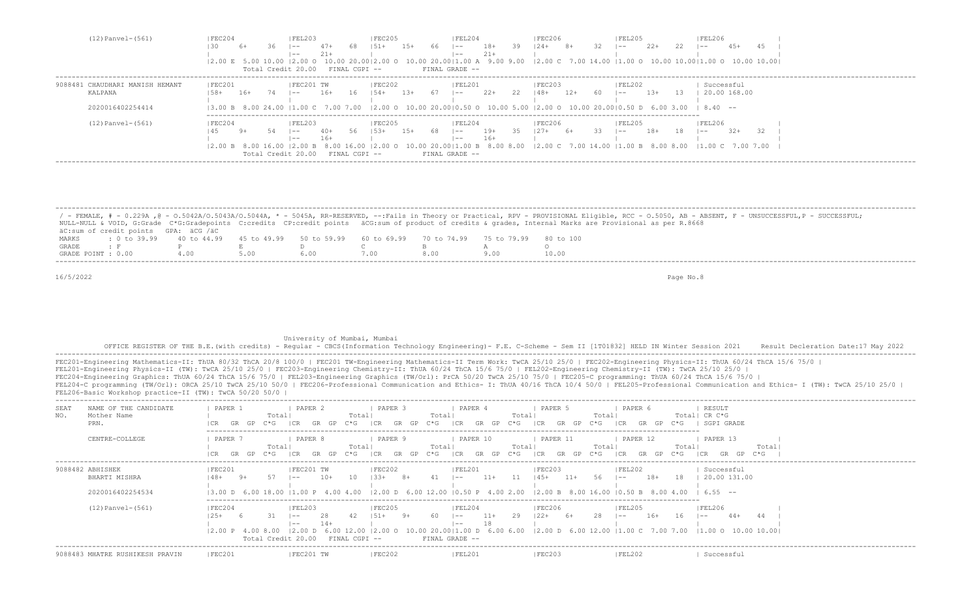| $(12)$ Panvel- $(561)$          | FEC204  |        | FEL203                                    |       |               | FEC205   |       |            | FEL204                  |         |    | FEC206           |                 | <b>FEL205</b>                                                                                                                         |        |            | FEL206     |              |  |
|---------------------------------|---------|--------|-------------------------------------------|-------|---------------|----------|-------|------------|-------------------------|---------|----|------------------|-----------------|---------------------------------------------------------------------------------------------------------------------------------------|--------|------------|------------|--------------|--|
|                                 |         | 6+     | $- -$                                     | $47+$ | 68.           | $151 +$  | 15+   | 66         | $\sim$ $-$              | $18+$   | 39 | $124+$ 8+        | 32 <sup>7</sup> | $1 - -$                                                                                                                               | $22+$  | -22        | $1 - -$    | $45+$        |  |
|                                 |         |        | $- -$<br>Total Credit 20.00 FINAL CGPI -- | $21+$ |               |          |       |            | $- -$<br>FINAL GRADE -- | $21+$   |    |                  |                 | 12.00 E 5.00 10.00 12.00 O 10.00 20.0012.00 O 10.00 20.0011.00 A 9.00 9.00 12.00 C 7.00 14.00 11.00 O 10.00 10.0011.00 O 10.00 10.001 |        |            |            |              |  |
| 9088481 CHAUDHARI MANISH HEMANT | FEC201  |        | FEC201 TW                                 |       |               | FEC202   |       |            | FEL201                  |         |    | FEC203           |                 | FEL202                                                                                                                                |        |            | Successful |              |  |
| KALPANA                         | $158+$  | 16+ 74 | $ -$                                      | 16+   | 16 154+       |          | - 13+ | $67$ $1--$ |                         | $22+22$ |    | $148 + 12 +$     | - 60            | $\sim$                                                                                                                                | $1.3+$ | - 1.3      |            | 20.00 168.00 |  |
| 2020016402254414                |         |        |                                           |       |               |          |       |            |                         |         |    |                  |                 | $(3.00 B 8.00 24.00 11.00 C 7.00 7.00 12.00 O 10.00 20.0010.50 O 10.00 5.00 12.00 O 10.00 20.0010.50 D 6.00 3.00 18.40 --$            |        |            |            |              |  |
| $(12)$ Panvel- $(561)$          | IFEC204 |        | IFEL203                                   |       |               | IFEC205  |       |            | FEL204                  |         |    | IFEC206          |                 | IFEL205                                                                                                                               |        |            | FEL206     |              |  |
|                                 |         |        | $- -$                                     | 40+   | 56            | $1.5.3+$ | 15+   | 68         | $\vert - - \vert$       | $19+$   |    | $35 \t127+ \t6+$ | $33^{\circ}$    | $\sim$ $-$                                                                                                                            | $18+$  | $18$ $1--$ |            | $-32+$       |  |
|                                 |         |        | $- -$<br>12.00 B 8.00 16.00 12.00 B       | $16+$ |               |          |       |            | $- -$                   | $16+$   |    |                  |                 | 8.00 16.00 12.00 0 10.00 20.00 1.00 B 8.00 8.00 12.00 C 7.00 14.00 11.00 B 8.00 8.00 11.00 C 7.00 7.00                                |        |            |            |              |  |
|                                 |         |        | Total Credit 20.00                        |       | FINAL CGPI -- |          |       |            | FINAL GRADE --          |         |    |                  |                 |                                                                                                                                       |        |            |            |              |  |

|                    |                                                                                                |  |  |  | / - FEMALE, # - 0.229A ,@ - 0.5042A/0.5043A/0.5044A, * - 5045A, RR-RESERVED, --:Fails in Theory or Practical, RPV - PROVISIONAL Eligible, RCC - 0.5050, AB - ABSENT, F - UNSUCCESSFUL,P - SUCCESSFUL; |
|--------------------|------------------------------------------------------------------------------------------------|--|--|--|-------------------------------------------------------------------------------------------------------------------------------------------------------------------------------------------------------|
|                    |                                                                                                |  |  |  | NULL-NULL & VOID, G:Grade C*G:Gradepoints C:credits CP:credit points äCG:sum of product of credits & qrades, Internal Marks are Provisional as per R.8668                                             |
|                    | äC:sum of credit points GPA: äCG /äC                                                           |  |  |  |                                                                                                                                                                                                       |
| MARKS              | t 0 to 39,99 40 to 44,99 45 to 49,99 50 to 59,99 60 to 69,99 70 to 74,99 75 to 79,99 80 to 100 |  |  |  |                                                                                                                                                                                                       |
| GRADE              |                                                                                                |  |  |  |                                                                                                                                                                                                       |
| GRADE POINT : 0.00 |                                                                                                |  |  |  | 10.00                                                                                                                                                                                                 |

## University of Mumbai, Mumbai

 OFFICE REGISTER OF THE B.E.(with credits) - Regular - CBCS(Information Technology Engineering)- F.E. C-Scheme - Sem II [1T01832] HELD IN Winter Session 2021 Result Decleration Date:17 May 2022 -------------------------------------------------------------------------------------------------------------------------------------------------------------------------------------------------------------------

FEC201-Engineering Mathematics-II: ThUA 80/32 ThCA 20/8 100/0 | FEC201 TW-Engineering Mathematics-II Term Work: TwCA 25/10 25/0 | FEC202-Engineering Physics-II: ThUA 60/24 ThCA 15/6 75/0 | FEL201-Engineering Physics-II (TW): TwCA 25/10 25/0 | FEC203-Engineering Chemistry-II: ThUA 60/24 ThCA 15/6 75/0 | FEL202-Engineering Chemistry-II (TW): TwCA 25/10 25/0 | FEC204-Engineering Graphics: ThUA 60/24 ThCA 15/6 75/0 | FEL203-Engineering Graphics (TW/Orl): PrCA 50/20 TwCA 25/10 75/0 | FEC205-C programming: ThUA 60/24 ThCA 15/6 75/0 | FEL204-C programming (TW/Orl): ORCA 25/10 TwCA 25/10 50/0 | FEC206-Professional Communication and Ethics- I: ThUA 40/16 ThCA 10/4 50/0 | FEL205-Professional Communication and Ethics- I (TW): TwCA 25/10 25/0 |

FEL206-Basic Workshop practice-II (TW): TwCA 50/20 50/0 |

| NAME OF THE CANDIDATE<br>SEA.<br>NO.<br>Mother Name<br>PRN. | PAPER 2<br>PAPER 1<br>Total <br>C*G<br>GR.<br>GR<br>GP                                                                         | PAPER 3<br>Totall<br>Total <br>$C \star G$<br>GP<br>- I CR<br>$C * G$<br>GP<br>GR | PAPER 4<br>Total<br>ICR<br>$C*G$<br>GR.<br>GP                      | PAPER 6<br>PAPER 5<br>Total<br>ICR<br>$C*G$<br>C*G<br>GP<br><b>ICR</b><br>GR                                                                                                                                                | RESULT<br>Total  CR C*G<br>SGPI GRADE |
|-------------------------------------------------------------|--------------------------------------------------------------------------------------------------------------------------------|-----------------------------------------------------------------------------------|--------------------------------------------------------------------|-----------------------------------------------------------------------------------------------------------------------------------------------------------------------------------------------------------------------------|---------------------------------------|
| CENTRE-COLLEGE                                              | PAPER<br>PAPER 8<br>Totall<br>$C*G$<br>GR.<br>GP.                                                                              | PAPER 9<br>Totall<br>Totall<br>C*G-<br>GP<br>I C.R<br>$C \star G$                 | PAPER 10<br>Total<br>C*G -                                         | PAPER 11<br>PAPER 12<br>Total<br>GP<br>I CR<br>GR<br>I CR<br>C*G-<br>$C \star G$                                                                                                                                            | PAPER 13<br>Total<br>Total<br>I CR    |
| 9088482 ABHISHEK<br>BHARTI MISHRA<br>2020016402254534       | FEC201<br>FEC201 TW<br>$10+$<br>$9+$<br>$- -$                                                                                  | FEC202<br>10<br>41<br>$1.3.3+$<br>$8+$                                            | FEL201<br>$11+$<br>11<br>$1 - -$                                   | FEC203<br> FEL202<br>$18+$<br>18<br>$145+$<br>$11+$<br>56.<br>$- -$<br>13.00 D 6.00 18.00 11.00 P 4.00 4.00 12.00 D 6.00 12.00 10.50 P 4.00 2.00 12.00 B 8.00 16.00 10.50 B 8.00 4.00 1                                     | Successful<br>20.00 131.00<br>655 --  |
| $(12)$ Panvel- $(561)$                                      | FEC204<br> FEL203<br>-28<br>$25+$<br>$- -$<br>$14+$<br>$- -$<br>$12.00$ D<br>$12.00 \text{ P}$ 4.00 8.00<br>Total Credit 20.00 | FEC205<br>42<br>- 60<br>$151+$<br>$9+$<br>6.00 12.00<br>FINAL CGPI --             | FEL204<br>$11+$<br>29<br>$\sim$<br>18<br>$1 - -$<br>FINAL GRADE -- | FEC206<br> FEL205<br>2.8<br>$16+$<br>$122+$<br>6+<br>16<br>$1 - -$<br>$(2.00 \t 0 \t 10.00 \t 20.00)1.00 \t 0 \t 6.00 \t 6.00 \t 2.00 \t 0 \t 6.00 \t 12.00 \t 11.00 \t C \t 7.00 \t 7.00 \t 11.00 \t 0 \t 10.00 \t 10.001$ | FEL206 <br>$44+$<br>$1 - -$           |
| 9088483 MHATRE RUSHIKESH PRAVIN                             | FEC201<br>FEC201 TW                                                                                                            | FEC202                                                                            | <b>FEL201</b>                                                      | FEC203<br><b>FEL202</b>                                                                                                                                                                                                     | Successful                            |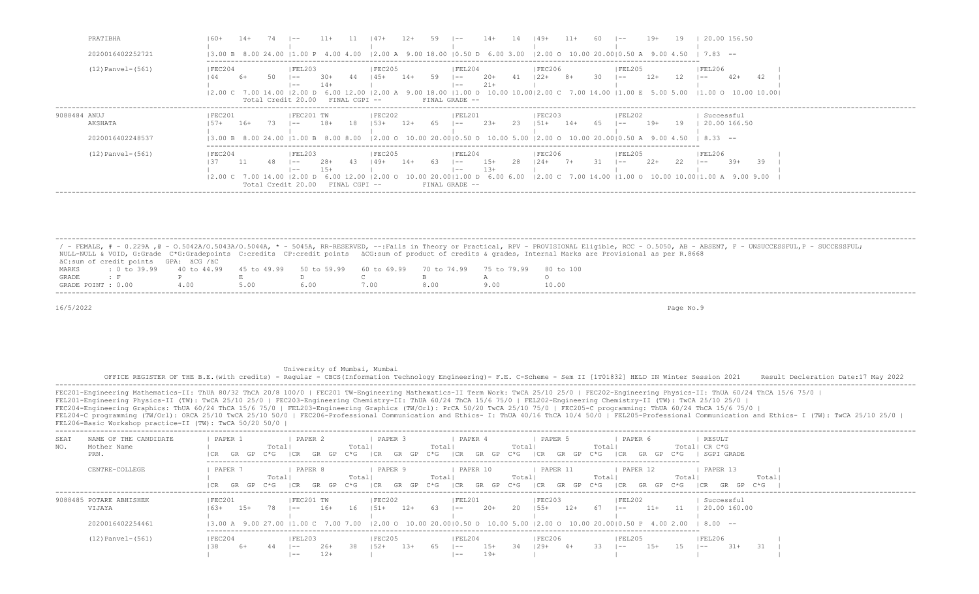| PRATIBHA                | 20.00 156.50<br>$11+$<br>19+<br>$14+$<br>$149+$<br>$\sim$<br>$1 - -$                                                                                                                                                                                                                                                                                                                                                                                                                                                                                                                                                  |
|-------------------------|-----------------------------------------------------------------------------------------------------------------------------------------------------------------------------------------------------------------------------------------------------------------------------------------------------------------------------------------------------------------------------------------------------------------------------------------------------------------------------------------------------------------------------------------------------------------------------------------------------------------------|
| 2020016402252721        | $\vert 1.00 \vert P \vert 4.00 \vert 4.00 \vert 2.00 \vert A \vert 9.00 \vert 18.00 \vert 10.50 \vert D \vert 6.00 \vert 3.00 \vert 2.00 \vert O \vert 10.00 \vert 20.00 \vert 0.50 \vert A \vert 9.00 \vert 4.50 \vert 10.00 \vert 20.00 \vert 10.00 \vert 10.00 \vert 10.00 \vert 10.00 \vert 10.00 \vert 10.00 \vert 10.00 \vert 10.00 \vert 10.00 \vert 10.00$<br>$783 - -$<br>13.00 B 8.00 24.00                                                                                                                                                                                                                 |
| $(12)$ Panvel- $(561)$  | FEL203<br> FEC205<br><b>FEC206</b><br> FEC204<br> FEL204<br> FEL205<br> FEL206 <br>$122 +$<br>$12+$<br>59<br>$2.0+$<br>30<br>$8+$<br>$145+$<br>$14+$<br>41<br>12.<br>$42+$<br>42<br>$30+$<br>6+<br>$1 - -$<br>$1 - -$<br>l ——<br>$1 - -$<br>$21+$<br>14+<br>$- -$<br>$\overline{\phantom{a}}$ $ -$<br>$(2.00 \text{ A } 9.00 \text{ 18.00 } 11.00 \text{ O } 10.00 \text{ 10.00} 12.00 \text{ C } 7.00 \text{ 14.00 } 11.00 \text{ E } 5.00 \text{ 5.00 } 11.00 \text{ O } 10.00 \text{ 10.00}$<br>$ 2.00 \text{ C}$ 7.00 14.00 $ 2.00 \text{ D}$ 6.00 12.00<br>Total Credit 20.00<br>FINAL GRADE --<br>FINAL CGPI -- |
| 9088484 ANUJ<br>AKSHATA | FEC201 TW<br> FEL201<br> FEC201<br> FEC202<br> FEC203<br> FEL202<br>Successful<br>$18+$<br>- 18<br>$23+$<br>$19+$<br>- 65<br>23<br>$14+$<br>20.00 166.50<br>$16+$<br>$1.5.3+$<br>$12+$<br>$151+$<br>65<br>- 19<br>$157+$<br>73.<br>$1 - -$<br>$1 - -$<br>$- -$                                                                                                                                                                                                                                                                                                                                                        |
| 2020016402248537        | $(3.00 B 8.00 24.00 11.00 B 8.00 8.00 12.00 O 10.00 20.0010.50 O 10.00 5.00 12.00 O 10.00 20.0010.50 A 9.00 4.50 18.33 --$                                                                                                                                                                                                                                                                                                                                                                                                                                                                                            |
| $(12)$ Panvel- $(561)$  | FEC204<br> FEC205<br> FEL203<br> FEL204<br> FEC206<br> FEL205<br> FEL206<br>$15+$<br>$22+$<br>22<br>$39+$<br>$28+$<br>- 28<br>$124+$<br>39<br>$149+$<br>7+<br>-63<br>-31-<br>$14+$<br>$1 - -$<br>$1 - -$<br>$1 - -$<br>$1 - -$<br>$13+$<br>15+<br>$- -$<br>$\overline{\phantom{a}}$ $ -$<br>6.00 6.00   2.00 C 7.00 14.00   1.00 O 10.00 10.00   1.00 A 9.00 9.00<br>ת 00<br>12.00<br>$12.00 \text{ C}$ 7.00 14.00<br>FINAL CGPI --                                                                                                                                                                                   |
|                         | Total Credit 20.00<br>FINAL GRADE --                                                                                                                                                                                                                                                                                                                                                                                                                                                                                                                                                                                  |

/ - FEMALE, # - 0.229A , @ - 0.5042A/O.5043A/O.5044A, \* - 5045A, RR-RESERVED, --:Fails in Theory or Practical, RPV - PROVISIONAL Eligible, RCC - 0.5050, AB - ABSENT, F - UNSUCCESSFUL,P - SUCCESSFUL; NULL-NULL & VOID, G:Grade C\*G:Gradepoints C:credits CP:credit points äCG:sum of product of credits & grades, Internal Marks are Provisional as per R.8668 äC:sum of credit points GPA: äCG /äC MARKS : 0 to 39.99 40 to 44.99 45 to 49.99 50 to 59.99 60 to 69.99 70 to 74.99 75 to 79.99 80 to 100 GRADE : F P E D C B A O GRADE POINT : 0.00 4.00 5.00 6.00 7.00 8.00 9.00 -------------------------------------------------------------------------------------------------------------------------------------------------------------------------------------------------------------------

-------------------------------------------------------------------------------------------------------------------------------------------------------------------------------------------------------------------

16/5/2022 Page No.9

 University of Mumbai, Mumbai OFFICE REGISTER OF THE B.E.(with credits) - Regular - CBCS(Information Technology Engineering)- F.E. C-Scheme - Sem II [1T01832] HELD IN Winter Session 2021 Result Decleration Date:17 May 2022 ------------------------------------------------------------------------------------------------------------------------------------------------------------------------------------------------------------------- FEC201-Engineering Mathematics-II: ThUA 80/32 ThCA 20/8 100/0 | FEC201 TW-Engineering Mathematics-II Term Work: TwCA 25/10 25/0 | FEC202-Engineering Physics-II: ThUA 60/24 ThCA 15/6 75/0 | FEL201-Engineering Physics-II (TW): TwCA 25/10 25/0 | FEC203-Engineering Chemistry-II: ThUA 60/24 ThCA 15/6 75/0 | FEL202-Engineering Chemistry-II (TW): TwCA 25/10 25/0 | FEC204-Engineering Graphics: ThUA 60/24 ThCA 15/6 75/0 | FEL203-Engineering Graphics (TW/Orl): PrCA 50/20 TwCA 25/10 75/0 | FEC205-C programming: ThUA 60/24 ThCA 15/6 75/0 | FEL204-C programming (TW/Orl): ORCA 25/10 TwCA 25/10 50/0 | FEC206-Professional Communication and Ethics- I: ThUA 40/16 ThCA 10/4 50/0 | FEL205-Professional Communication and Ethics- I (TW): TwCA 25/10 25/0 | FEL206-Basic Workshop practice-II (TW): TwCA 50/20 50/0 | ------------------------------------------------------------------------------------------------------------------------------------------------------------------------------------------------------------------- SEAT NAME— OF\_THE\_CANDIDATE | PAPER\_1 | PAPER\_2 | PAPER\_3 | PAPER\_4 | PAPER\_5 | PAPER\_6 | RESULT<br>NO. Mother\_Name\_Name\_ | | Totall Totall Totall Totall Totall Totall Totall Totall Totall Totall Totall Totall NO. Mother Name | Total| Total| Total| Total| Total| Total| Total| Total| Total| Total| Total| Total| Total| CR C\*G PRN. |CR GR GP C\*G |CR GR GP C\*G |CR GR GP C\*G |CR GR GP C\*G |CR GR GP C\*G |CR GR GP C\*G | SGPI GRADE ------------------------------------------------------------------------------------------------------------------------- | PAPER 7 | PAPER 8 | PAPER 9 | PAPER 10 | PAPER 11 | PAPER 12 | PAPER 13 |<br>| Total| Total| Total| Paper 12 | Paper 13 | Paper 14 | Total| Total| Total| Total| Total| Total| Total| |CR GR GP C\*G |CR GR GP C\*G |CR GR GP C\*G |CR GR GP C\*G |CR GR GP C\*G |CR GR GP C\*G |CR GR GP C\*G | ------------------------------------------------------------------------------------------------------------------------------------------------------------------------------------------------------------------- 9088485 POTARE ABHISHEK | |FEC201 | |FEC201 TW |FEC202 | |FEL201 | |FEC203 | |FEL202 | Successful VIJAYA |63+ 15+ 78 |-- 16+ 16 |51+ 12+ 63 |-- 20+ 20 |55+ 12+ 67 |-- 11+ 11 | 20.00 160.00 | | | | | | | 2020016402254461 |3.00 A 9.00 27.00 |1.00 C 7.00 7.00 |2.00 O 10.00 20.00|0.50 O 10.00 5.00 |2.00 O 10.00 20.00|0.50 P 4.00 2.00 | 8.00 -- ------------------------------------------------------------------------------------------------------------------------- (12)Panvel-(561) |FEC204 |FEL203 |FEC205 |FEL204 |FEC206 |FEL205 |FEL206 | |38 6+ 44 |-- 26+ 38 |52+ 13+ 65 |-- 15+ 34 |29+ 4+ 33 |-- 15+ 15 |-- 31+ 31 | | |-- 12+ | |-- 19+ | | | |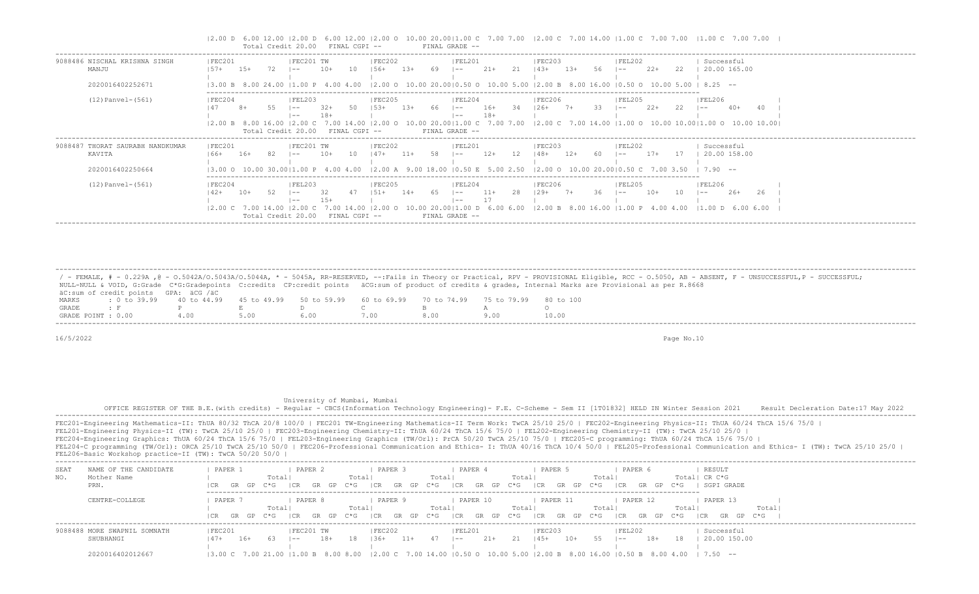|                                                                |                                                                 |        | Total Credit 20.00                                |                | FINAL CGPI --            |                                          |        |      | FINAL GRADE --                               |                |     |                                                                                                        |        |    |                      |       |     |                                                                                                                                                        |    |
|----------------------------------------------------------------|-----------------------------------------------------------------|--------|---------------------------------------------------|----------------|--------------------------|------------------------------------------|--------|------|----------------------------------------------|----------------|-----|--------------------------------------------------------------------------------------------------------|--------|----|----------------------|-------|-----|--------------------------------------------------------------------------------------------------------------------------------------------------------|----|
| 9088486 NISCHAL KRISHNA SINGH<br>MANJU<br>2020016402252671     | FEC201<br>157+<br>13.00 B 8.00 24.00                            | $1.5+$ | FEC201 TW<br>$- -$<br>$11.00 \text{ P}$ 4.00 4.00 | $10+$          | 10                       | FEC202<br>$156+$                         | $1.3+$ | 69   | FEL201<br>$- -$                              | $21+$          | -21 | FEC203<br>$14.3+$<br>$12.00$ o $10.00$ 20.0010.50 o $10.00$ 5.00 12.00 B 8.00 16.00 10.50 o 10.00 5.00 | $1.3+$ |    | FEL202<br>l ——       | $22+$ | 22  | Successful<br>20.00 165.00<br>825 --                                                                                                                   |    |
| $(12)$ Panvel- $(561)$                                         | FEC204<br> 2.00 B 8.00 16.00  2.00 C                            |        | FEL203<br>$- -$<br>Total Credit 20.00             | $32+$<br>$18+$ | FINAL CGPI --            | FEC205<br>$1.5.3+$<br>7.00 14.00 12.00 O | $1.3+$ |      | FEL204<br>$1 - -$<br>$- -$<br>FINAL GRADE -- | $16+$<br>$18+$ |     | FEC206<br>$126+$                                                                                       |        |    | FEL205<br>$\sim$ $-$ | $22+$ | 22  | FEL206<br>$40+$<br>$\vert - -$<br>10.00 20.00   1.00 C 7.00 7.00   2.00 C 7.00 14.00   1.00 O 10.00 10.00   1.00 O 10.00 10.00                         |    |
| 9088487 THORAT SAURABH NANDKUMAR<br>KAVITA<br>2020016402250664 | FEC201<br>$166+$                                                | $16+$  | FEC201 TW<br>$- -$                                | $10+$          | 10                       | FEC202<br>$147+$                         | $11+$  |      | FEL201<br>l —— 1                             | $12+$          | 12  | FEC203<br>$148+$                                                                                       | $12+$  |    | FEL202<br>l —— 1     | $17+$ | 17  | Successful<br>20.00 158.00<br>13.00 O 10.00 30.0011.00 P 4.00 4.00 12.00 A 9.00 18.00 10.50 E 5.00 2.50 12.00 O 10.00 20.0010.50 C 7.00 3.50 I 7.90 -- |    |
| $(12)$ Panvel- $(561)$                                         | FEC204<br>$142+$<br>$ 2,00 \, C \, 7,00 \, 14,00 \,  2,00 \, C$ | $10+$  | FEL203<br>$1 - -$<br>$- -$<br>Total Credit 20.00  | -32.<br>$1.5+$ | 7001400<br>FINAL CGPT -- | FEC205<br>$1.51 +$<br>12 NO O            | $14+$  | - 65 | FEL204<br>$1 - -$<br>$- -$<br>FINAL GRADE -- | $11+$<br>-17   | 28  | FEC206 <br>$129+ 7+$                                                                                   |        | 36 | IFEL205<br>$1 - -$   | $10+$ | -10 | FEL206<br>$2.6+$<br>l ——<br>10.00 20.00   1.00 D 6.00 6.00   2.00 B 8.00 16.00   1.00 P 4.00 4.00   1.00 D 6.00 6.00                                   | 26 |

|2.00 D 6.00 12.00 |2.00 D 6.00 12.00 |2.00 O 10.00 20.00|1.00 C 7.00 7.00 |2.00 C 7.00 14.00 |1.00 C 7.00 7.00 |1.00 C 7.00 7.00 |

 / - FEMALE, # - 0.229A ,@ - O.5042A/O.5043A/O.5044A, \* - 5045A, RR-RESERVED, --:Fails in Theory or Practical, RPV - PROVISIONAL Eligible, RCC - O.5050, AB - ABSENT, F - UNSUCCESSFUL,P - SUCCESSFUL; NULL-NULL & VOID, G:Grade C\*G:Gradepoints C:credits CP:credit points äCG:sum of product of credits & grades, Internal Marks are Provisional as per R.8668 äC:sum of credit points GPA: äCG /äC MARKS : 0 to 39.99 40 to 44.99 45 to 49.99 50 to 59.99 60 to 69.99 70 to 74.99 75 to 79.99 80 to 100<br>GRADE : F P E D C B A GRADE : F P E D C B A O GRADE POINT : 0.00 4.00 5.00 6.00 7.00 8.00 9.00 10.00 -------------------------------------------------------------------------------------------------------------------------------------------------------------------------------------------------------------------

-------------------------------------------------------------------------------------------------------------------------------------------------------------------------------------------------------------------

16/5/2022 Page No.10

## University of Mumbai, Mumbai

 OFFICE REGISTER OF THE B.E.(with credits) - Regular - CBCS(Information Technology Engineering)- F.E. C-Scheme - Sem II [1T01832] HELD IN Winter Session 2021 Result Decleration Date:17 May 2022 -------------------------------------------------------------------------------------------------------------------------------------------------------------------------------------------------------------------

FEC201-Engineering Mathematics-II: ThUA 80/32 ThCA 20/8 100/0 | FEC201 TW-Engineering Mathematics-II Term Work: TwCA 25/10 25/0 | FEC202-Engineering Physics-II: ThUA 60/24 ThCA 15/6 75/0 | FEL201-Engineering Physics-II (TW): TwCA 25/10 25/0 | FEC203-Engineering Chemistry-II: ThUA 60/24 ThCA 15/6 75/0 | FEL202-Engineering Chemistry-II (TW): TwCA 25/10 25/0 | FEC204-Engineering Graphics: ThUA 60/24 ThCA 15/6 75/0 | FEL203-Engineering Graphics (TW/Orl): PrCA 50/20 TwCA 25/10 75/0 | FEC205-C programming: ThUA 60/24 ThCA 15/6 75/0 | FEL204-C programming (TW/Orl): ORCA 25/10 TwCA 25/10 50/0 | FEC206-Professional Communication and Ethics- I: ThUA 40/16 ThCA 10/4 50/0 | FEL205-Professional Communication and Ethics- I (TW): TwCA 25/10 25/0 | FEL206-Basic Workshop practice-II (TW): TwCA 50/20 50/0 |

| SEAT      | NAME OF THE CANDIDATE        | PAPER                                                                                                                                                                                                                                                                                                                                                                         |           |        | PAPER   |           |         |        | PAPER 3 |       |             | PAPER  |          |               |                    | PAPER 5  |            |     |        | PAPER (  |           |     |       | RESULT        |              |     |       |  |
|-----------|------------------------------|-------------------------------------------------------------------------------------------------------------------------------------------------------------------------------------------------------------------------------------------------------------------------------------------------------------------------------------------------------------------------------|-----------|--------|---------|-----------|---------|--------|---------|-------|-------------|--------|----------|---------------|--------------------|----------|------------|-----|--------|----------|-----------|-----|-------|---------------|--------------|-----|-------|--|
| NO.       | Mother Name                  |                                                                                                                                                                                                                                                                                                                                                                               |           | Totall |         |           |         | Total  |         |       | Total       |        |          |               | Total <sup>1</sup> |          |            |     | Totall |          |           |     |       | Total  CR C*G |              |     |       |  |
| PRN.      |                              |                                                                                                                                                                                                                                                                                                                                                                               | GR GP     | C*G    | I CR    | GR GP C*G |         |        | GR      | GP    | $C \star G$ | ICR    | GR.      | C*G<br>GP     |                    | I CR     | GP.<br>GR. | C*G |        | I CR     | GP.<br>GR | C*G |       |               | SGPI GRADE   |     |       |  |
|           | CENTRE-COLLEGE               | PAPER                                                                                                                                                                                                                                                                                                                                                                         |           |        | PAPER 8 |           |         |        | PAPER 9 |       |             |        | PAPER 10 |               |                    | PAPER 11 |            |     |        | PAPER 12 |           |     |       | PAPER 13      |              |     |       |  |
|           |                              |                                                                                                                                                                                                                                                                                                                                                                               |           | Totall |         |           |         | Total  |         |       | Total       |        |          |               | Total              |          |            |     | Total  |          |           |     | Total |               |              |     | Total |  |
|           |                              |                                                                                                                                                                                                                                                                                                                                                                               |           |        |         |           |         |        |         |       |             |        |          |               |                    |          |            |     |        |          |           |     |       |               |              |     |       |  |
|           |                              |                                                                                                                                                                                                                                                                                                                                                                               | GR GP C*G |        | I CR.   | GR GP     | . C*G · | CR     | GR      |       | GP C*G      | CR     | GR       | $C * G$<br>GP |                    | CR       | GR<br>GP   | C*G |        | CR       | GP.<br>GR | C*G |       | - I C.R       | GR<br>GP.    | C*G |       |  |
|           | 9088488 MORE SWAPNIL SOMNATH | FEC201                                                                                                                                                                                                                                                                                                                                                                        |           |        |         | FEC201 TW |         | FEC202 |         |       |             | FEL201 |          |               |                    | FEC203   |            |     |        | FEL202   |           |     |       |               | Successful   |     |       |  |
| SHUBHANGI |                              | $47+$                                                                                                                                                                                                                                                                                                                                                                         | $16+$     |        | $- -$   | 18+       | 18      | $-36+$ |         | $11+$ |             | $- -$  | 21+      |               |                    | 45+      |            |     |        | $- -$    | 18+       |     |       |               | 20.00 150.00 |     |       |  |
|           |                              |                                                                                                                                                                                                                                                                                                                                                                               |           |        |         |           |         |        |         |       |             |        |          |               |                    |          |            |     |        |          |           |     |       |               |              |     |       |  |
|           | 2020016402012667             | $(3.00 \text{ C} \quad 7.00 \text{ } 21.00 \text{ }  1.00 \text{ B} \quad 8.00 \text{ } 8.00 \text{ }  2.00 \text{ C} \quad 7.00 \text{ } 14.00 \text{ }  0.50 \text{ O} \quad 10.00 \text{ } 5.00 \text{ }  2.00 \text{ B} \quad 8.00 \text{ } 16.00 \text{ }  0.50 \text{ B} \quad 8.00 \text{ } 4.00 \text{ }  7.50 \text{ } -1.00 \text{ }  0.50 \text{ }  0.50 \text{ }$ |           |        |         |           |         |        |         |       |             |        |          |               |                    |          |            |     |        |          |           |     |       |               |              |     |       |  |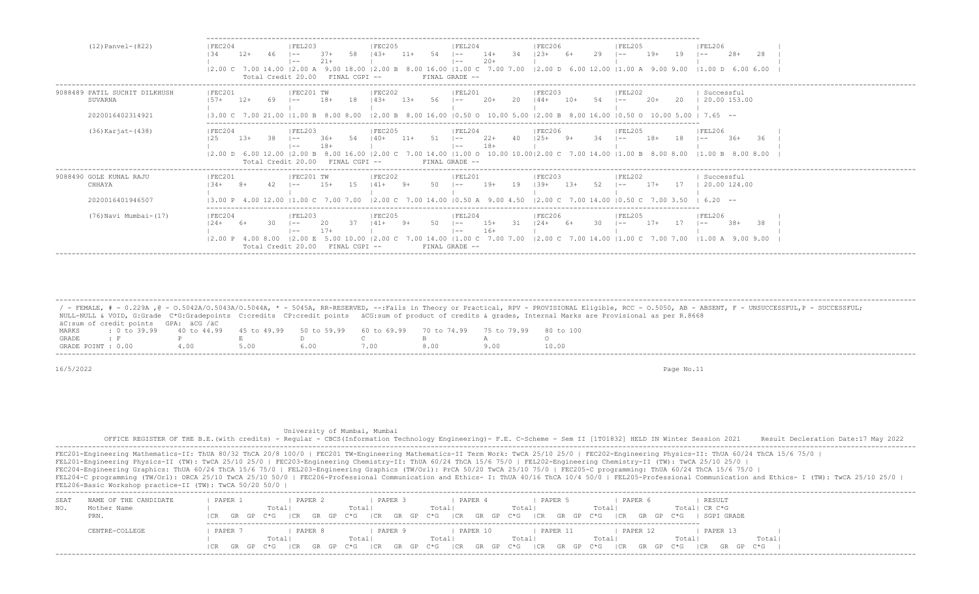| (12) Panvel-(822)                                            | IFEC204<br>IFEL203<br>IFEC205<br> FEL206<br>IFEL204<br><b>IFEC206</b><br>  FEL205<br>58<br>29<br>54<br>34<br>$19+$<br>$28+$<br>$12+$<br>$37+$<br>$14.3+$<br>$14+$<br>  23+<br>19<br>$11+$<br>28<br>134<br>$\sim$ $-$<br>l ——<br>l —— I<br>$20+$<br>$21+$<br>$\vert - -$<br>$- -$<br>9.00 18.00   2.00 B 8.00 16.00   1.00 C 7.00 7.00   2.00 D 6.00 12.00   1.00 A 9.00 9.00   1.00 D 6.00 6.00<br>$ 2.00 \C 7.00 14.00  2.00 A$<br>FINAL GRADE --<br>Total Credit 20.00<br>FINAL CGPI --                                                                                                                                           |
|--------------------------------------------------------------|-------------------------------------------------------------------------------------------------------------------------------------------------------------------------------------------------------------------------------------------------------------------------------------------------------------------------------------------------------------------------------------------------------------------------------------------------------------------------------------------------------------------------------------------------------------------------------------------------------------------------------------|
| 9088489 PATIL SUCHIT DILKHUSH<br>SUVARNA<br>2020016402314921 | IFEC202<br>IFEC201<br>IFEC201 TW<br>IFEL201<br>IFEC203<br>Successful<br><b>IFFI202</b><br>20.00 153.00<br>$2.0+$<br>$18+$<br>$2.0+$<br>20<br>$57+$<br>$12+$<br>-20<br>$10+$<br>$43+$<br>$- -$<br>$- -$<br>l —— 1<br> 2.00 B 8.00 16.00 10.50 0<br>$1, 7.65 - -$<br>13.00<br>10.00 5.00<br>12.00 B 8.00 16.00 10.50 O 10.00 5.00<br>8.00                                                                                                                                                                                                                                                                                             |
| (36) Karjat- (438)                                           | <b>FEC205</b><br> FEL204<br> FEC206<br><b>FEL205</b><br> FEC204<br> FEL203<br> FEL206<br>$22+$<br>36<br>$140+$<br>$18+$<br>$36+$<br>$13+$<br>38<br>$.36+$<br>$11+$<br>$- -$<br>$\vert - -$<br>l ——<br>l ——<br>$18+$<br>$- -$<br>$- -$<br>$(2.00 \text{ D } 6.00 \text{ 12.00 }   2.00 \text{ B } 8.00 \text{ 16.00 }   2.00 \text{ C } 7.00 \text{ 14.00 }   1.00 \text{ O } 10.00 \text{ 10.00 }   2.00 \text{ C } 7.00 \text{ 14.00 }   1.00 \text{ B } 8.00 \text{ 8.00 }   1.00 \text{ B } 8.00 \text{ 8.00 }   1.00 \text{ C } 8.00 \text{ 8.00 }   1.00 \text{ C } 8.0$<br>Total Credit 20.00 FINAL CGPI --<br>FINAL GRADE -- |
| 9088490 GOLE KUNAL RAJU<br>CHHAYA<br>2020016401946507        | FEC201<br> FEC201 TW<br> FEC202<br>Successful<br> FEL201<br>IEC203<br> FEL202<br>15<br>50<br>$1.5+$<br>$19+$<br>19<br>52<br>$17+$<br>17<br>20.00 124.00<br>$139+$<br>$13+$<br>  41+<br>$- -$<br>l —— I<br>$ 2,00 \text{ C}$ 7.00 14.00 $ 0,50 \text{ A}$ 9.00 4.50<br>$12.00 \text{ C}$ 7.00 14.00 10.50 C 7.00 3.50<br>$6.20 - -$<br>4.00 12.00 11.00 C 7.00 7.00<br>13.00                                                                                                                                                                                                                                                         |
| (76) Navi Mumbai- (17)                                       | IFEC204<br>IFEC205<br><b>IFEC206</b><br><b>IFEL206</b><br> FEL203<br>IFEL204<br> FEL205<br>$15+$<br>30<br>$17+$<br>17<br>$38+$<br>38<br>$124+$<br>$124+$<br>$- -$<br>l —— 1<br>l ——<br>$- -$<br>$16+$<br>$- -$<br>$- -$<br>7.00 14.00   1.00 C 7.00 7.00   2.00 C 7.00 14.00   1.00 C 7.00 7.00   1.00 A 9.00 9.00<br>$ 2.00 \tE 5.00 10.00$<br>$ 2,00 \tP 4.00 8.00$<br>FINAL GRADE --<br>FINAL CGPT --<br>Total Credit 20.00                                                                                                                                                                                                      |

 ------------------------------------------------------------------------------------------------------------------------------------------------------------------------------------------------------------------- / - FEMALE, # - 0.229A , @ - 0.5042A/O.5043A/O.5044A, \* - 5045A, RR-RESERVED, --:Fails in Theory or Practical, RPV - PROVISIONAL Eligible, RCC - 0.5050, AB - ABSENT, F - UNSUCCESSFUL, P - SUCCESSFUL; NULL-NULL & VOID, G:Grade C\*G:Gradepoints C:credits CP:credit points äCG:sum of product of credits & grades, Internal Marks are Provisional as per R.8668 äC:sum of credit points GPA: äCG /äC MARKS : 0 to 39.99 40 to 44.99 45 to 49.99 50 to 59.99 60 to 69.99 70 to 74.99 75 to 79.99 80 to 100 GRADE : F P E D C B A O GRADE POINT : 0.00 4.00 5.00 6.00 7.00 8.00 9.00 10.00

16/5/2022 Page No.11

 University of Mumbai, Mumbai OFFICE REGISTER OF THE B.E. (with credits) - Regular - CBCS (Information Technology Engineering) - F.E. C-Scheme - Sem II [1T01832] HELD IN Winter Session 2021 Result Decleration Date:17 May 2022

FEC201-Engineering Mathematics-II: ThUA 80/32 ThCA 20/8 100/0 | FEC201 TW-Engineering Mathematics-II Term Work: TwCA 25/10 25/0 | FEC202-Engineering Physics-II: ThUA 60/24 ThCA 15/6 75/0 | FEL201-Engineering Physics-II (TW): TwCA 25/10 25/0 | FEC203-Engineering Chemistry-II: ThUA 60/24 ThCA 15/6 75/0 | FEL202-Engineering Chemistry-II (TW): TwCA 25/10 25/0 | FEC204-Engineering Graphics: ThUA 60/24 ThCA 15/6 75/0 | FEL203-Engineering Graphics (TW/Orl): PrCA 50/20 TwCA 25/10 75/0 | FEC205-C programming: ThUA 60/24 ThCA 15/6 75/0 | FEL204-C programming (TW/Orl): ORCA 25/10 TwCA 25/10 50/0 | FEC206-Professional Communication and Ethics- I: ThUA 40/16 ThCA 10/4 50/0 | FEL205-Professional Communication and Ethics- I (TW): TwCA 25/10 25/0 | FEL206-Basic Workshop practice-II (TW): TwCA 50/20 50/0 |

| SEA' | NAME OF THE CANDIDATE | PAPER         | PAPER 2 | PAPER              | PAPER 4                       | PAPER<br>PAPER                 | RESULT                         |       |
|------|-----------------------|---------------|---------|--------------------|-------------------------------|--------------------------------|--------------------------------|-------|
| NO.  | Mother Name           |               | Total   | Total <sub>1</sub> | Totall                        | Total<br>Total                 | Total  CR C*G                  |       |
|      | PRN.                  | ICR GR GP C*G | CR      | GRGP C*G ICR       | GR GP C*G   CR GR GP C*G   CR | GR GP C*G<br> CR               | SGPI GRADE<br>GR GP C*G        |       |
|      |                       |               |         |                    |                               |                                |                                |       |
|      | CENTRE-COLLEGE        | PAPER         | PAPER   | PAPER 9            | PAPER 10                      | PAPER 11                       | PAPER 12<br>PAPER 13           |       |
|      |                       |               | Total   | Totall             | Total                         | Total<br>Total                 | Total                          | Total |
|      |                       | ICR GR GP C*G | ICR     | GR GP C*G ICR      | GRGP C*G ICRGR                | GP C*G ICR<br>GR GP C*G<br> CR | GR GP C*G<br>GR GP C*G<br>I CR |       |
|      |                       |               |         |                    |                               |                                |                                |       |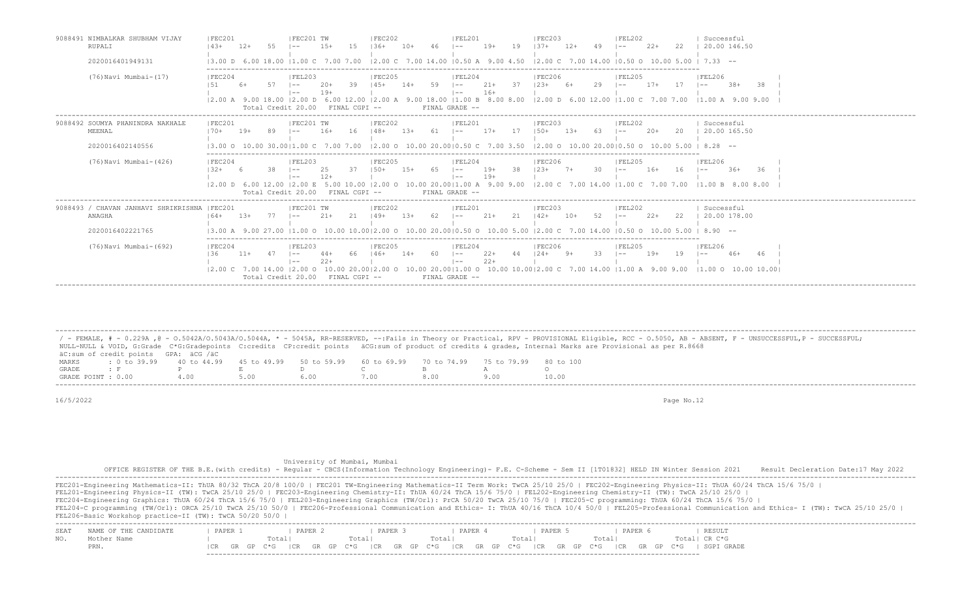| 9088491 NIMBALKAR SHUBHAM VIJAY<br>RUPALI               | IFEC201<br>$143+$    | $12+$  |    | IFEC201 TW                                                                                   | $1.5+$                          | 15                   | IFEC202<br>$1.36+$           | $10+$  |      | IFEL201<br>$- -$                                         | $19+$          | 19   | <b>IFEC203</b><br>$137 +$ | $12+$  |     | <b>IFEL202</b><br>$- -$ | $2.2+$ | 22  | Successful<br>20.00 146.50                                                                                                                                                     |
|---------------------------------------------------------|----------------------|--------|----|----------------------------------------------------------------------------------------------|---------------------------------|----------------------|------------------------------|--------|------|----------------------------------------------------------|----------------|------|---------------------------|--------|-----|-------------------------|--------|-----|--------------------------------------------------------------------------------------------------------------------------------------------------------------------------------|
| 2020016401949131                                        | $13.00$ D 6.00 18.00 |        |    | $11.00 \text{ C}$ 7.00 7.00                                                                  |                                 |                      |                              |        |      |                                                          |                |      |                           |        |     |                         |        |     | $12.00 \text{ C}$ 7.00 14.00 10.50 A 9.00 4.50 12.00 C 7.00 14.00 10.50 O 10.00 5.00 1 7.33 --                                                                                 |
| (76) Navi Mumbai-(17)                                   | FEC204               |        |    | FEL203<br>$1 - -$<br>$1 - -$<br>Total Credit 20.00                                           | $20+$<br>$19+$<br>FINAL CGPI -- | 39                   | FEC205<br>$145+$             | $14+$  | 59   | FEL204<br>$1 - -$<br>$\vert - -$<br>FINAL GRADE --       | $21+$<br>$16+$ | 37   | <b>FEC206</b><br>$123+$   | $6+$   | 29  | IFEL205<br>$- -$        | $17+$  | 17  | FEL206<br>$.38+$<br>-38<br>$\sim$ $-$<br>12.00 A 9.00 18.00 12.00 D 6.00 12.00 12.00 A 9.00 18.00 11.00 B 8.00 8.00 12.00 D 6.00 12.00 11.00 C 7.00 7.00 11.00 A 9.00 9.00     |
| 9088492 SOUMYA PHANINDRA NAKHALE<br>MEENAL              | FEC201<br>$170+$     | $19+$  |    | FEC201 TW                                                                                    | $16+$                           | - 16                 | FEC202<br>$148+$             | $1.3+$ | - 61 | IFEL201<br>$- -$                                         | $17+$          | - 17 | IFEC203<br>$150+$         | $1.3+$ | -63 | IFEL202<br>$- -$        | $20+$  | -20 | Successful<br>20.00 165.50                                                                                                                                                     |
| 2020016402140556                                        |                      |        |    | 13.00 O 10.00 30.0011.00 C                                                                   |                                 | 7.00                 |                              |        |      | 12.00 O 10.00 20.0010.50 C                               | 7.00 3.50      |      |                           |        |     |                         |        |     | $12.00$ O $10.00$ $20.0010.50$ O $10.00$ $5.00$ I $8.28$ --                                                                                                                    |
| (76) Navi Mumbai- (426)                                 | FEC204<br>$132+$     |        | 38 | IFEL203<br>$1 - -$<br>$1 - -$<br> 2.00 D 6.00 12.00  2.00 E 5.00 10.00<br>Total Credit 20.00 | 2.5<br>$12+$<br>FINAL CGPI --   | -37                  | FEC205<br>$1.50+$<br>12.00 O | $1.5+$ | - 65 | IFEL204<br>$\sim$<br>$\vert - - \vert$<br>FINAL GRADE -- | $19+$<br>$19+$ | -38  | FEC206<br>$123+$          | $7+$   | 30  | IFEL205<br>$1 - -$      | $16+$  | 16  | FEL206<br>$36+$<br>-36<br>$1 - -$<br>10.00 20.00   1.00 A 9.00 9.00   2.00 C 7.00 14.00   1.00 C 7.00 7.00   1.00 B 8.00 8.00                                                  |
| 9088493 / CHAVAN JANHAVI SHRIKRISHNA   FEC201<br>ANAGHA | $164+$               | $1.3+$ |    | IFEC201 TW<br>$1 - -$                                                                        | $21+$                           |                      | IFEC202<br>$149+$            | $1.3+$ | -62  | IFEL201<br>$- -$                                         | $21+$          | -21  | IFEC203<br>$142+$         | $10+$  | 52  | FEL202<br>$1 - -$       | $2.2+$ | 22  | Successful<br>20.00 178.00                                                                                                                                                     |
| 2020016402221765                                        |                      |        |    |                                                                                              |                                 |                      |                              |        |      |                                                          |                |      |                           |        |     |                         |        |     | 13.00 A 9.00 27.00 11.00 O 10.00 10.0012.00 O 10.00 20.0010.50 O 10.00 5.00 12.00 C 7.00 14.00 10.50 O 10.00 5.00 1 8.90 --                                                    |
| (76) Navi Mumbai-(692)                                  | FEC204<br>136        | $11+$  |    | IFEL203<br>$1 - -$<br>$1 - -$<br>Total Credit 20.00                                          |                                 | -66<br>FINAL CGPI -- | IFEC205<br>$146+$            | $14+$  | -60  | FEL204<br>$1 - -$<br>$- -$<br>FINAL GRADE --             | $22+$<br>$22+$ | 44   | <b>IFEC206</b><br>$124+$  | 9+     | 33  | FEL205<br>$- -$         | 19+    | 19  | <b>FEL206</b><br>46<br>$46+$<br>$- -$<br>12.00 C 7.00 14.00 12.00 O 10.00 20.0012.00 O 10.00 20.0011.00 O 10.00 10.0012.00 C 7.00 14.00 11.00 A 9.00 9.00 11.00 O 10.00 10.001 |

 / - FEMALE, # - 0.229A ,@ - O.5042A/O.5043A/O.5044A, \* - 5045A, RR-RESERVED, --:Fails in Theory or Practical, RPV - PROVISIONAL Eligible, RCC - O.5050, AB - ABSENT, F - UNSUCCESSFUL,P - SUCCESSFUL; NULL-NULL & VOID, G:Grade C\*G:Gradepoints C:credits CP:credit points äCG:sum of product of credits & grades, Internal Marks are Provisional as per R.8668 äC:sum of credit points GPA: äCG /äC MARKS : 0 to 39.99 40 to 44.99 45 to 49.99 50 to 59.99 60 to 69.99 70 to 74.99 75 to 79.99 80 to 100 GRADE : F P E D C B A O GRADE POINT : 0.00 4.00 5.00 6.00 7.00 8.00 9.00 10.00 -------------------------------------------------------------------------------------------------------------------------------------------------------------------------------------------------------------------

-------------------------------------------------------------------------------------------------------------------------------------------------------------------------------------------------------------------

16/5/2022 Page No.12

University of Mumbai, Mumbai

 OFFICE REGISTER OF THE B.E.(with credits) - Regular - CBCS(Information Technology Engineering)- F.E. C-Scheme - Sem II [1T01832] HELD IN Winter Session 2021 Result Decleration Date:17 May 2022 -------------------------------------------------------------------------------------------------------------------------------------------------------------------------------------------------------------------

FEC201-Engineering Mathematics-II: ThUA 80/32 ThCA 20/8 100/0 | FEC201 TW-Engineering Mathematics-II Term Work: TwCA 25/10 25/0 | FEC202-Engineering Physics-II: ThUA 60/24 ThCA 15/6 75/0 |

FEL201-Engineering Physics-II (TW): TwCA 25/10 25/0 | FEC203-Engineering Chemistry-II: ThUA 60/24 ThCA 15/6 75/0 | FEL202-Engineering Chemistry-II (TW): TwCA 25/10 25/0 |

FEC204-Engineering Graphics: ThUA 60/24 ThCA 15/6 75/0 | FEL203-Engineering Graphics (TW/Orl): PrCA 50/20 TwCA 25/10 75/0 | FEC205-C programming: ThUA 60/24 ThCA 15/6 75/0 |

FEL204-C programming (TW/Orl): ORCA 25/10 TwCA 25/10 50/0 | FEC206-Professional Communication and Ethics- I: ThUA 40/16 ThCA 10/4 50/0 | FEL205-Professional Communication and Ethics- I (TW): TwCA 25/10 25/0 | FEL206-Basic Workshop practice-II (TW): TwCA 50/20 50/0 |

| SEA |     | PAPER      | <b>DADFD</b> | PAPER                   | PAPER                | PAPER            | PAPER        | RESULT          |  |
|-----|-----|------------|--------------|-------------------------|----------------------|------------------|--------------|-----------------|--|
|     |     |            |              | ľota⊥                   |                      | 'otal            |              |                 |  |
|     | FRN | GR<br>GP - | ∩*⊂          | GR<br>∩*∩<br>GP<br>  CR | CR<br>GR.<br>$C * G$ | CR<br>$GP$ $C*G$ | CR<br>GP C*G | GRADE<br>GP C*G |  |
|     |     |            |              |                         |                      |                  |              |                 |  |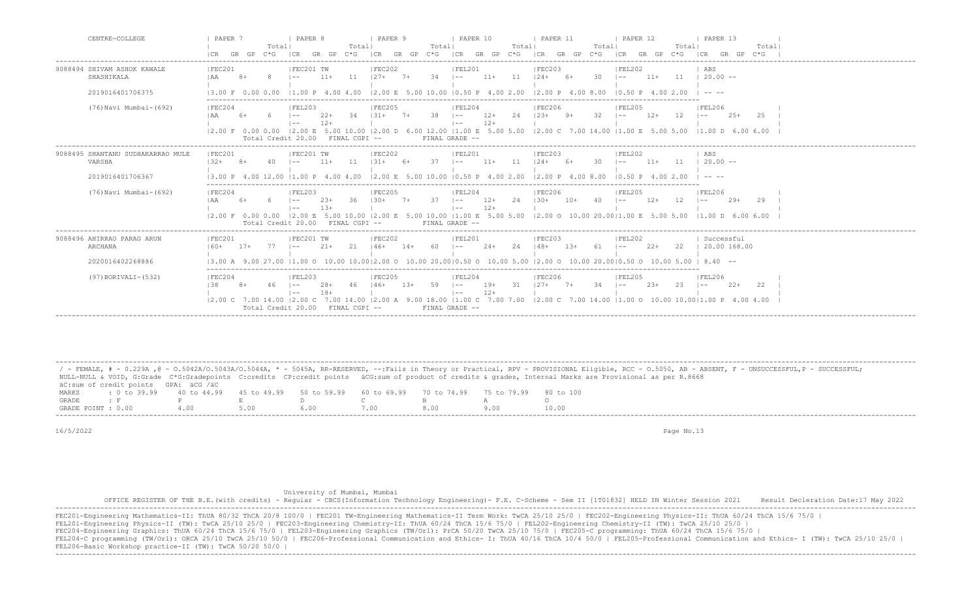| CENTRE-COLLEGE                                                  | PAPER 7<br>I PAPER 8<br>I PAPER 9<br><b>I PAPER 10</b><br><b>PAPER 11</b><br><b>I PAPER 13</b><br>1 PAPER 12<br>Totall<br>Totall<br>Totall<br>Totall<br>Totall<br>Totall<br>Total <br>GR GP C*G<br>GR GP $C*G$   CR GR GP $C*G$   CR GR GP $C*G$   CR GR GP $C*G$<br>I CR<br>ICR GR GP C*G ICR<br>GR GP<br>$C * G$                                                                                                                                                                                                        |
|-----------------------------------------------------------------|---------------------------------------------------------------------------------------------------------------------------------------------------------------------------------------------------------------------------------------------------------------------------------------------------------------------------------------------------------------------------------------------------------------------------------------------------------------------------------------------------------------------------|
| 9088494 SHIVAM ASHOK KAWALE<br>SHASHIKALA<br>2019016401706375   | FEC201<br> FEC201 TW<br>IFEC202<br>IFEL201<br>IFEC203<br>IFEL202<br>ABS<br>11<br>$127+7+$<br>$34$ $ --$<br>$11 \t 20.00 -$<br>$11+$ 11<br>$124+ 6+$<br>30<br>I AA<br>$8+$<br>-8<br>11+<br>$11+$<br>$\vert - - \vert$<br>$ -$<br>$\mid$ 1.00 P 4.00 4.00 $\mid$ 2.00 E 5.00 10.00 $\mid$ 0.50 P 4.00 2.00 $\mid$ 2.00 P 4.00 8.00<br>$10.50 \text{ P}$ 4.00 2.00<br>13.00 F 0.00 0.00<br>$\cdots$                                                                                                                          |
| (76) Navi Mumbai-(692)                                          | FEL206<br> FEC204<br> FEL203<br> FEC205<br> FEL204<br> FEC206<br> FEL205<br>$12+$<br>$131+$<br>38<br>24<br>$123+$<br>- 32<br>12<br>I AA<br>$6+$<br>$22+$<br>-34<br>$7+$<br>$9+$<br>$12+$<br>$25+$<br>2.5<br>- 6<br>$1 - -$<br>$1 - -$<br>$1 - -$<br>$\vert$ $-$<br>$12+$<br>$12+$<br>$1 - -$<br>$1 - -$<br> 2.00 F 0.00 0.00  2.00 E 5.00 10.00  2.00 D 6.00 12.00  1.00 E 5.00 5.00  2.00 C 7.00 14.00  1.00 E 5.00 5.00  1.00 D 6.00 6.00<br>Total Credit 20.00 FINAL CGPI --<br>FINAL GRADE --                         |
| 9088495 SHANTANU SUDHAKARRAO MULE<br>VARSHA<br>2019016401706367 | IFEC201 TW<br>IFEC202<br>IFEL201<br>IFEC201<br>IFEC203<br>IFEL202<br>ABS<br>11<br>37<br>$11 \t 20.00 -$<br>$132+$<br>$131+$<br>$11+$<br>- 11<br>30<br>$11+$<br>$8+$<br>40<br>$11+$<br>- 6+<br>$124+$<br>$1 - -$<br>$\sim$<br>6+<br>$1 - -$<br>$12.00 \t{F}$ 5.00 10.00 10.50 P 4.00 2.00<br>$13.00 \text{ P}$ 4.00 12.00 11.00 P 4.00 4.00<br>$10.50 \text{ P}$ 4.00 2.00<br>$\cdots$                                                                                                                                     |
| (76) Navi Mumbai-(692)                                          | 12.00 P 4.00 8.00<br> FEC204<br> FEL203<br> FEC205<br> FEL204<br> FEC206<br>IFEL205<br> FEL206<br>$12+$<br>2.4<br>$1.30 +$<br>-36<br>$1.30+$<br>37<br>12<br>IAA<br>6+<br>$1 - -$<br>$2.3+$<br>$7+$<br>$\vert - - \vert$<br>$10+$<br>4 O<br>$12+$<br>-29+<br>29<br>$1 - -$<br>$1 - -$<br>$13+$<br>$12+$<br>$\vert$ $-$<br>$  --$<br>12.00 F 0.00 0.00 12.00 E 5.00 10.00 12.00 E 5.00 10.00 11.00 E 5.00 5.00 12.00 O 10.00 20.0011.00 E 5.00 5.00 11.00 D 6.00 6.00<br>Total Credit 20.00 FINAL CGPI --<br>FINAL GRADE -- |
| 9088496 AHIRRAO PARAG ARUN<br>ARCHANA<br>2020016402268886       | FEC201 TW<br> FEC202<br> FEL201<br> FEC201<br> FEC203<br> FEL202<br>  Successful<br>2.1<br>2.2<br>-77<br>$21+$<br>$146+$<br>60.<br>$2.4+$<br>2.4<br>$148+$<br>$1.3+$<br>61<br>$2.2+$<br>20.00 168.00<br>$160+$<br>$17+$<br>$1 - -$<br>$14+$<br>$\sim$<br>$- -$<br>27.00 11.00 0 10.00 10.0012.00 0 10.00 20.0010.50 0 10.00 5.00 12.00 0 10.00 20.0010.50 0 10.00 5.00<br>$8.40 - -$<br>13.00 A                                                                                                                           |
| (97) BORIVALI-(532)                                             | FEC204<br>IFEL203<br>IFEC205<br> FEL204<br>IFEC206<br> FEL205<br>  FEL206<br>31<br>$127+$<br>138<br>46<br>$146+$<br>$13+$<br>59<br>$19+$<br>$7+$<br>34<br>$23+$<br>23<br>$22+$<br>46<br>$28+$<br>$\vert - -$<br>22<br>$1 - -$<br>$1 - -$<br>$1 - -$<br>$18 +$<br>$12+$<br>$\vert - - \vert$<br>$\vert - - \vert$<br> 2.00 A 9.00 18.00   1.00 C 7.00 7.00   2.00 C 7.00 14.00   1.00 O 10.00 10.00   1.00 P 4.00 4.00<br>12.00 C 7.00 14.00 12.00 C 7.00 14.00<br>Total Credit 20.00 FINAL CGPI --<br>FINAL GRADE --      |

 ------------------------------------------------------------------------------------------------------------------------------------------------------------------------------------------------------------------- / - FEMALE, # - 0.229A , @ - 0.5042A/O.5043A/O.5044A, \* - 5045A, RR-RESERVED, --:Fails in Theory or Practical, RPV - PROVISIONAL Eligible, RCC - 0.5050, AB - ABSENT, F - UNSUCCESSFUL, P - SUCCESSFUL; NULL-NULL & VOID, G:Grade C\*G:Gradepoints C:credits CP:credit points äCG:sum of product of credits & grades, Internal Marks are Provisional as per R.8668 äC:sum of credit points GPA: äCG /äC MARKS : 0 to 39.99 40 to 44.99 45 to 49.99 50 to 59.99 60 to 69.99 70 to 74.99 75 to 79.99 80 to 100<br>GRADE: F P E D C B A O GRADE : F P E D C B A O GRADE POINT : 0.00 4.00 5.00 6.00 7.00 8.00 9.00 10.00

16/5/2022 Page No.13

University of Mumbai, Mumbai

 OFFICE REGISTER OF THE B.E.(with credits) - Regular - CBCS(Information Technology Engineering)- F.E. C-Scheme - Sem II [1T01832] HELD IN Winter Session 2021 Result Decleration Date:17 May 2022 -------------------------------------------------------------------------------------------------------------------------------------------------------------------------------------------------------------------

FEC201-Engineering Mathematics-II: ThUA 80/32 ThCA 20/8 100/0 | FEC201 TW-Engineering Mathematics-II Term Work: TwCA 25/10 25/0 | FEC202-Engineering Physics-II: ThUA 60/24 ThCA 15/6 75/0 | FEL201-Engineering Physics-II (TW): TwCA 25/10 25/0 | FEC203-Engineering Chemistry-II: ThUA 60/24 ThCA 15/6 75/0 | FEL202-Engineering Chemistry-II (TW): TwCA 25/10 25/0 | FEC204-Engineering Graphics: ThUA 60/24 ThCA 15/6 75/0 | FEL203-Engineering Graphics (TW/Orl): PrCA 50/20 TwCA 25/10 75/0 | FEC205-C programming: ThUA 60/24 ThCA 15/6 75/0 | FEL204-C programming (TW/Orl): ORCA 25/10 TwCA 25/10 50/0 | FEC206-Professional Communication and Ethics- I: ThUA 40/16 ThCA 10/4 50/0 | FEL205-Professional Communication and Ethics- I (TW): TwCA 25/10 25/0 | FEL206-Basic Workshop practice-II (TW): TwCA 50/20 50/0 | -------------------------------------------------------------------------------------------------------------------------------------------------------------------------------------------------------------------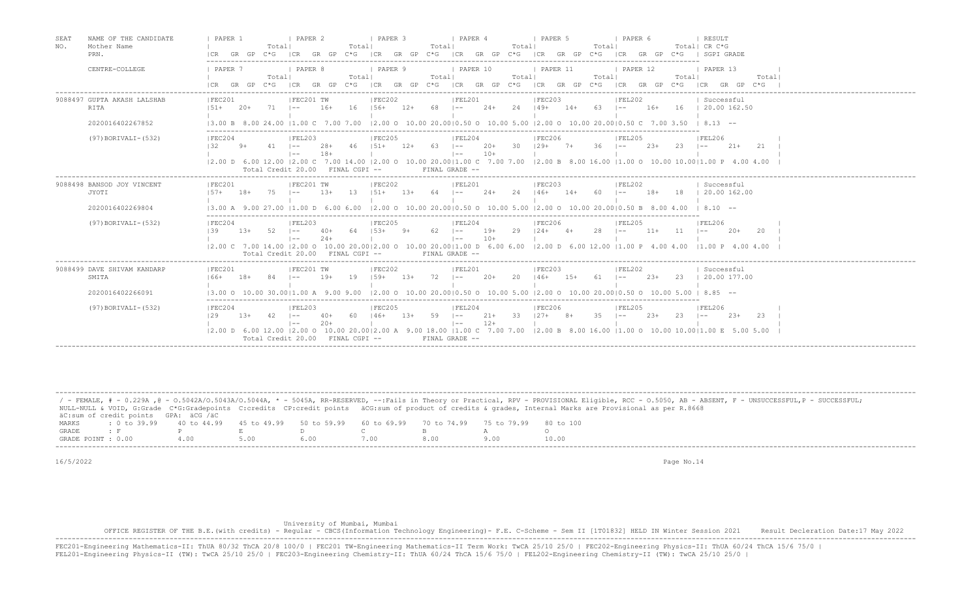| SEAT<br>NO. | NAME OF THE CANDIDATE<br>Mother Name | PAPER 1                                                               |        | Totall                           | I PAPER 2                       |                 | Totall   | I PAPER 3                             |        | Totall     | PAPER 4                      |                | Totall | 1 PAPER 5                            | Totall      | I PAPER 6          |        |            | <b>I RESULT</b><br>Total  CR C*G                                                                                                                                                                                                                                                                                                    |
|-------------|--------------------------------------|-----------------------------------------------------------------------|--------|----------------------------------|---------------------------------|-----------------|----------|---------------------------------------|--------|------------|------------------------------|----------------|--------|--------------------------------------|-------------|--------------------|--------|------------|-------------------------------------------------------------------------------------------------------------------------------------------------------------------------------------------------------------------------------------------------------------------------------------------------------------------------------------|
|             | PRN.                                 | ICR GR GP C*G ICR GR GP C*G ICR GR GP C*G ICR GR GP C*G ICR GR GP C*G |        |                                  |                                 |                 |          |                                       |        |            |                              |                |        |                                      |             |                    |        |            | ICR GR GP C*G   SGPI GRADE                                                                                                                                                                                                                                                                                                          |
|             | CENTRE-COLLEGE                       | PAPER 7                                                               |        | Totall<br>GR GP C*G ICR          | PAPER 8                         |                 | Total    | PAPER 9                               |        | Totall     | PAPER 10                     |                | Totall | PAPER 11                             | Totall      | PAPER 12           |        | Totall     | PAPER 13<br>Totall                                                                                                                                                                                                                                                                                                                  |
|             |                                      |                                                                       |        |                                  |                                 |                 |          |                                       |        |            |                              |                |        |                                      |             |                    |        |            | GR GP C*G ICR GR GP C*G ICR GR GP C*G ICR GR GP C*G ICR GR GP C*G ICR GR GP C*G                                                                                                                                                                                                                                                     |
|             | 9088497 GUPTA AKASH LALSHAB<br>RITA  | IFEC201<br>$151+$                                                     | $20+$  | $71 - 1 - -$                     | IFEC201 TW                      | $16+$           |          | IFEC202<br>$16$ $156+$ $12+$ 68 $1--$ |        |            | IFEL201                      |                |        | IFEC203<br>$24+24$ $149+14+63$ $1--$ |             | IFEL202            |        |            | Successful<br>16+ 16   20.00 162.50                                                                                                                                                                                                                                                                                                 |
|             | 2020016402267852                     | 13.00 B 8.00 24.00 11.00 C 7.00 7.00                                  |        |                                  |                                 |                 |          |                                       |        |            |                              |                |        |                                      |             |                    |        |            | $12.00$ O $10.00$ 20.0010.50 O $10.00$ 5.00 12.00 O $10.00$ 20.0010.50 C 7.00 3.50 I 8.13 --                                                                                                                                                                                                                                        |
|             | $(97)$ BORIVALI- $(532)$             | IFEC204<br>132                                                        | $9+$   |                                  | FEL203<br>$1 - -$<br>$1 - -$    | 28+<br>$18+$    | - 46     | IFEC205<br>$151+$                     | 12+    | 63 –       | IFEL204<br>$\vert - - \vert$ | $10+$          |        | IFEC206<br>$20+$ 30 $129+$ 7+ 36 1-- |             | IFEL205            | $23+$  | $23 - 1 =$ | FEL206<br>$21+$<br>2.1                                                                                                                                                                                                                                                                                                              |
|             |                                      |                                                                       |        | Total Credit 20.00 FINAL CGPI -- |                                 |                 |          |                                       |        |            | FINAL GRADE --               |                |        |                                      |             |                    |        |            | 2.00 D 6.00 12.00  2.00 C 7.00 14.00  2.00 O 10.00 20.00 1.00 C 7.00 7.00  2.00 B 8.00 16.00  1.00 O 10.00 10.00 1.00 P 4.00 4.00                                                                                                                                                                                                   |
|             | 9088498 BANSOD JOY VINCENT<br>JYOTI  | IFEC201<br>$157+$ 18+ 75                                              |        |                                  | IFEC201 TW<br>$\vert - - \vert$ | $1.3+$          | 13       | IFEC202<br>$151+ 13+ 64$ $1--$        |        |            | IFEL201                      |                |        | IFEC203<br>$24+24$ $146+14+60$ $1--$ |             | IFEL202            |        |            | Successful<br>18+ 18   20.00 162.00                                                                                                                                                                                                                                                                                                 |
|             | 2020016402269804                     |                                                                       |        |                                  |                                 |                 |          |                                       |        |            |                              |                |        |                                      |             |                    |        |            | $(3.00 \text{ A } 9.00 \text{ 27.00 }  1.00 \text{ D } 6.00 \text{ 6.00 }  2.00 \text{ O } 10.00 \text{ 20.00}  0.50 \text{ O } 10.00 \text{ 5.00 }  2.00 \text{ O } 10.00 \text{ 20.00}  0.50 \text{ B } 8.00 \text{ 4.00 }  8.10 \text{ -}10.00 \text{ 20.00}  0.50 \text{ B } 8.00 \text{ 20.00}  0.50 \text{ B } 8.00 \text{ 2$ |
|             | (97) BORIVALI-(532)                  | IFEC204<br>139                                                        | $1.3+$ | 52                               | IFEL203<br>$1 - -$<br>$1 - -$   | $40+$<br>$2.4+$ | 64       | IFEC205<br>$1.5.3+$                   | - 9+   | $62 - 1 -$ | IFEL204<br>$\vert - - \vert$ | $19+$          | 29     | IFEC206<br>$124+$ 4+                 | 28          | IFEL205<br>$1 - -$ | $11+$  | 11         | IFEL206<br>$2.0+$<br>-20<br>$1 - -$                                                                                                                                                                                                                                                                                                 |
|             |                                      |                                                                       |        | Total Credit 20.00 FINAL CGPI -- |                                 |                 |          |                                       |        |            | FINAL GRADE --               | $10+$          |        |                                      |             |                    |        |            | 2.00 C 7.00 14.00  2.00 O 10.00 20.00 2.00 O 10.00 20.00 1.00 D 6.00 6.00  2.00 D 6.00 12.00  1.00 P 4.00 4.00  1.00 P 4.00 4.00 4.00                                                                                                                                                                                               |
|             | 9088499 DAVE SHIVAM KANDARP<br>SMITA | IFEC201<br>$166+$                                                     | $18+$  | 84                               | IFEC201 TW<br>$1 - -$           | $19+$           | 19       | IFEC202<br>$159+$                     | $1.3+$ | $72 - 1 -$ | IFEL201                      | $20+$          | 20     | IFEC203<br>$146+$ 15+                | $61 \t - -$ | FEL202             | $2.3+$ |            | Successful<br>23   20.00 177.00                                                                                                                                                                                                                                                                                                     |
|             | 2020016402266091                     |                                                                       |        |                                  |                                 |                 |          |                                       |        |            |                              |                |        |                                      |             |                    |        |            | $13.00$ o $10.00$ 30.0011.00 A $9.00$ $9.00$ $12.00$ o $10.00$ 20.0010.50 o $10.00$ 5.00 12.00 o $10.00$ 20.0010.50 o $10.00$ 5.00 i 8.85 --                                                                                                                                                                                        |
|             | (97) BORIVALI-(532)                  | IFEC204<br>129                                                        | $13+$  | $42 - 1 -$                       | FEL203<br>$1 - -$               | $40+$<br>$20+$  | 60   46+ | IFEC205                               | $13+$  | $59$ $1--$ | IFEL204<br>$1 - -$           | $21+$<br>$12+$ |        | IFEC206<br>$33 \t127+ \t8+$          | $35 \t - -$ | IFEL205            | $23+$  | 23         | IFEL206<br>$2.3+$<br>-2.3<br>$1 - -$                                                                                                                                                                                                                                                                                                |
|             |                                      |                                                                       |        | Total Credit 20.00 FINAL CGPI -- |                                 |                 |          |                                       |        |            | FINAL GRADE --               |                |        |                                      |             |                    |        |            | 2.00 D 6.00 12.00  2.00 O 10.00 20.00 2.00 A 9.00 18.00  1.00 C 7.00 7.00  2.00 B 8.00 16.00  1.00 O 10.00 10.00 1.00 E 5.00 5.00                                                                                                                                                                                                   |

|                    |                                                                                                |      |      |  |      | / - FEMALE, # - 0.229A ,@ - 0.5042A/0.5043A/0.5044A, * - 5045A, RR-RESERVED, --:Fails in Theory or Practical, RPV - PROVISIONAL Eligible, RCC - 0.5050, AB - ABSENT, F - UNSUCCESSFUL,P - SUCCESSFUL; |
|--------------------|------------------------------------------------------------------------------------------------|------|------|--|------|-------------------------------------------------------------------------------------------------------------------------------------------------------------------------------------------------------|
|                    |                                                                                                |      |      |  |      | NULL-NULL & VOID, G:Grade C*G:Gradepoints C:credits CP:credit points äCG:sum of product of credits & grades, Internal Marks are Provisional as per R.8668                                             |
|                    | äC:sum of credit points GPA: äCG /äC                                                           |      |      |  |      |                                                                                                                                                                                                       |
| MARKS              | t 0 to 39.99 40 to 44.99 45 to 49.99 50 to 59.99 60 to 69.99 70 to 74.99 75 to 79.99 80 to 100 |      |      |  |      |                                                                                                                                                                                                       |
| GRADE              |                                                                                                |      |      |  |      |                                                                                                                                                                                                       |
| GRADE POINT : 0.00 |                                                                                                | 4.00 | 5.00 |  | 8.00 | 10.00                                                                                                                                                                                                 |
|                    | ---------------------------                                                                    |      |      |  |      |                                                                                                                                                                                                       |

### University of Mumbai, Mumbai

OFFICE REGISTER OF THE B.E.(with credits) - Regular - CBCS(Information Technology Engineering)- F.E. C-Scheme - Sem II [1T01832] HELD IN Winter Session 2021 Result Decleration Date:17 May 2022<br>-----------------------------FEC201-Engineering Mathematics-II: ThUA 80/32 ThCA 20/8 100/0 | FEC201 TW-Engineering Mathematics-II Term Work: TwCA 25/10 25/0 | FEC202-Engineering Physics-II: ThUA 60/24 ThCA 15/6 75/0 |<br>FEL201-Engineering Physics-II (TW